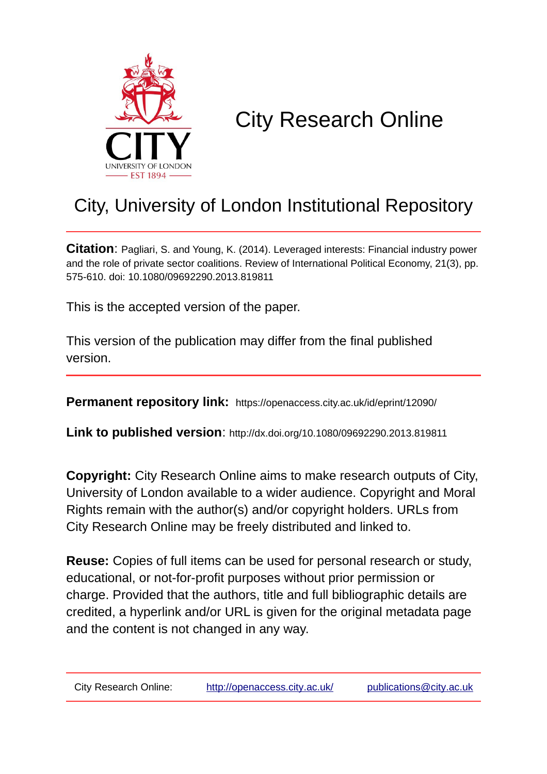

# City Research Online

## City, University of London Institutional Repository

**Citation**: Pagliari, S. and Young, K. (2014). Leveraged interests: Financial industry power and the role of private sector coalitions. Review of International Political Economy, 21(3), pp. 575-610. doi: 10.1080/09692290.2013.819811

This is the accepted version of the paper.

This version of the publication may differ from the final published version.

**Permanent repository link:** https://openaccess.city.ac.uk/id/eprint/12090/

**Link to published version**: http://dx.doi.org/10.1080/09692290.2013.819811

**Copyright:** City Research Online aims to make research outputs of City, University of London available to a wider audience. Copyright and Moral Rights remain with the author(s) and/or copyright holders. URLs from City Research Online may be freely distributed and linked to.

**Reuse:** Copies of full items can be used for personal research or study, educational, or not-for-profit purposes without prior permission or charge. Provided that the authors, title and full bibliographic details are credited, a hyperlink and/or URL is given for the original metadata page and the content is not changed in any way.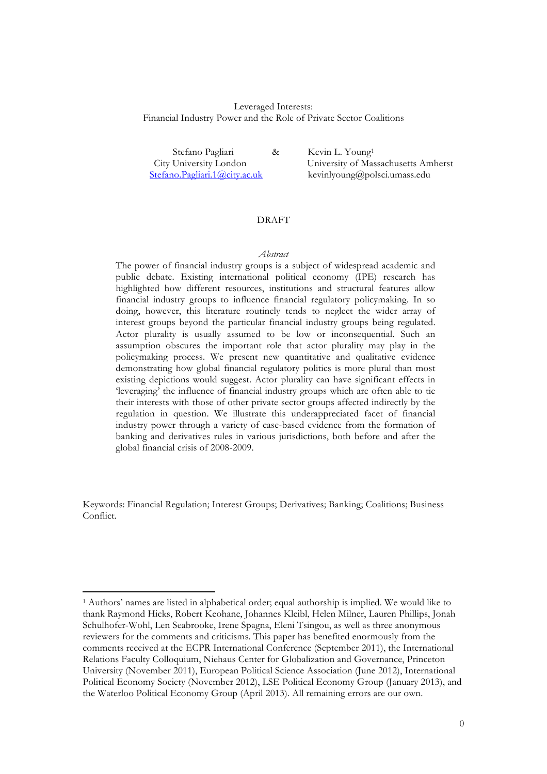#### Leveraged Interests: Financial Industry Power and the Role of Private Sector Coalitions

Stefano Pagliari & Kevin L. Young<sup>1</sup> Stefano.Pagliari.1@city.ac.uk kevinlyoung@polsci.umass.edu

City University London University of Massachusetts Amherst

#### DRAFT

#### *Abstract*

The power of financial industry groups is a subject of widespread academic and public debate. Existing international political economy (IPE) research has highlighted how different resources, institutions and structural features allow financial industry groups to influence financial regulatory policymaking. In so doing, however, this literature routinely tends to neglect the wider array of interest groups beyond the particular financial industry groups being regulated. Actor plurality is usually assumed to be low or inconsequential. Such an assumption obscures the important role that actor plurality may play in the policymaking process. We present new quantitative and qualitative evidence demonstrating how global financial regulatory politics is more plural than most existing depictions would suggest. Actor plurality can have significant effects in 'leveraging' the influence of financial industry groups which are often able to tie their interests with those of other private sector groups affected indirectly by the regulation in question. We illustrate this underappreciated facet of financial industry power through a variety of case-based evidence from the formation of banking and derivatives rules in various jurisdictions, both before and after the global financial crisis of 2008-2009.

Keywords: Financial Regulation; Interest Groups; Derivatives; Banking; Coalitions; Business Conflict.

 

<sup>1</sup> Authors' names are listed in alphabetical order; equal authorship is implied. We would like to thank Raymond Hicks, Robert Keohane, Johannes Kleibl, Helen Milner, Lauren Phillips, Jonah Schulhofer-Wohl, Len Seabrooke, Irene Spagna, Eleni Tsingou, as well as three anonymous reviewers for the comments and criticisms. This paper has benefited enormously from the comments received at the ECPR International Conference (September 2011), the International Relations Faculty Colloquium, Niehaus Center for Globalization and Governance, Princeton University (November 2011), European Political Science Association (June 2012), International Political Economy Society (November 2012), LSE Political Economy Group (January 2013), and the Waterloo Political Economy Group (April 2013). All remaining errors are our own.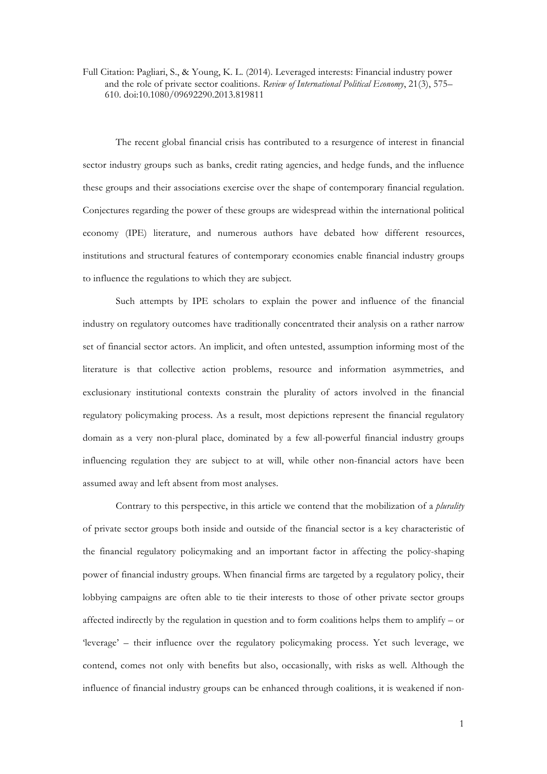Full Citation: Pagliari, S., & Young, K. L. (2014). Leveraged interests: Financial industry power and the role of private sector coalitions. *Review of International Political Economy*, 21(3), 575– 610. doi:10.1080/09692290.2013.819811

The recent global financial crisis has contributed to a resurgence of interest in financial sector industry groups such as banks, credit rating agencies, and hedge funds, and the influence these groups and their associations exercise over the shape of contemporary financial regulation. Conjectures regarding the power of these groups are widespread within the international political economy (IPE) literature, and numerous authors have debated how different resources, institutions and structural features of contemporary economies enable financial industry groups to influence the regulations to which they are subject.

Such attempts by IPE scholars to explain the power and influence of the financial industry on regulatory outcomes have traditionally concentrated their analysis on a rather narrow set of financial sector actors. An implicit, and often untested, assumption informing most of the literature is that collective action problems, resource and information asymmetries, and exclusionary institutional contexts constrain the plurality of actors involved in the financial regulatory policymaking process. As a result, most depictions represent the financial regulatory domain as a very non-plural place, dominated by a few all-powerful financial industry groups influencing regulation they are subject to at will, while other non-financial actors have been assumed away and left absent from most analyses.

Contrary to this perspective, in this article we contend that the mobilization of a *plurality* of private sector groups both inside and outside of the financial sector is a key characteristic of the financial regulatory policymaking and an important factor in affecting the policy-shaping power of financial industry groups. When financial firms are targeted by a regulatory policy, their lobbying campaigns are often able to tie their interests to those of other private sector groups affected indirectly by the regulation in question and to form coalitions helps them to amplify – or 'leverage' – their influence over the regulatory policymaking process. Yet such leverage, we contend, comes not only with benefits but also, occasionally, with risks as well. Although the influence of financial industry groups can be enhanced through coalitions, it is weakened if non-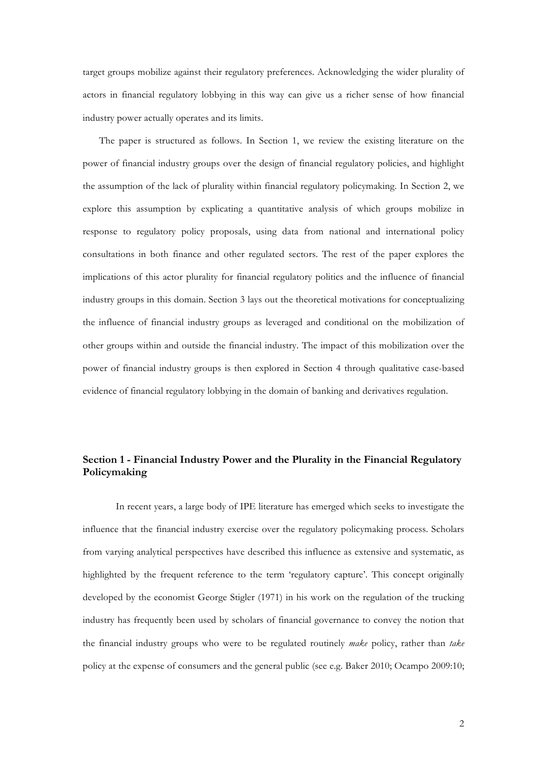target groups mobilize against their regulatory preferences. Acknowledging the wider plurality of actors in financial regulatory lobbying in this way can give us a richer sense of how financial industry power actually operates and its limits.

The paper is structured as follows. In Section 1, we review the existing literature on the power of financial industry groups over the design of financial regulatory policies, and highlight the assumption of the lack of plurality within financial regulatory policymaking. In Section 2, we explore this assumption by explicating a quantitative analysis of which groups mobilize in response to regulatory policy proposals, using data from national and international policy consultations in both finance and other regulated sectors. The rest of the paper explores the implications of this actor plurality for financial regulatory politics and the influence of financial industry groups in this domain. Section 3 lays out the theoretical motivations for conceptualizing the influence of financial industry groups as leveraged and conditional on the mobilization of other groups within and outside the financial industry. The impact of this mobilization over the power of financial industry groups is then explored in Section 4 through qualitative case-based evidence of financial regulatory lobbying in the domain of banking and derivatives regulation.

### **Section 1 - Financial Industry Power and the Plurality in the Financial Regulatory Policymaking**

In recent years, a large body of IPE literature has emerged which seeks to investigate the influence that the financial industry exercise over the regulatory policymaking process. Scholars from varying analytical perspectives have described this influence as extensive and systematic, as highlighted by the frequent reference to the term 'regulatory capture'. This concept originally developed by the economist George Stigler (1971) in his work on the regulation of the trucking industry has frequently been used by scholars of financial governance to convey the notion that the financial industry groups who were to be regulated routinely *make* policy, rather than *take* policy at the expense of consumers and the general public (see e.g. Baker 2010; Ocampo 2009:10;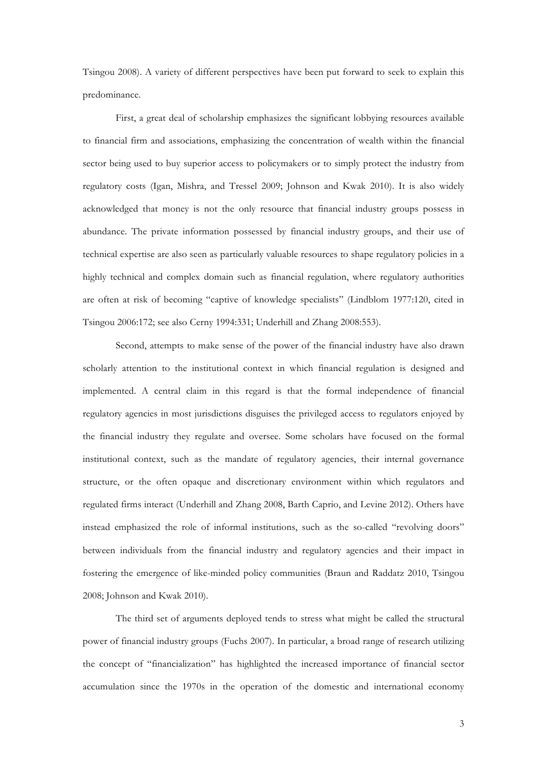Tsingou 2008). A variety of different perspectives have been put forward to seek to explain this predominance.

First, a great deal of scholarship emphasizes the significant lobbying resources available to financial firm and associations, emphasizing the concentration of wealth within the financial sector being used to buy superior access to policymakers or to simply protect the industry from regulatory costs (Igan, Mishra, and Tressel 2009; Johnson and Kwak 2010). It is also widely acknowledged that money is not the only resource that financial industry groups possess in abundance. The private information possessed by financial industry groups, and their use of technical expertise are also seen as particularly valuable resources to shape regulatory policies in a highly technical and complex domain such as financial regulation, where regulatory authorities are often at risk of becoming "captive of knowledge specialists" (Lindblom 1977:120, cited in Tsingou 2006:172; see also Cerny 1994:331; Underhill and Zhang 2008:553).

Second, attempts to make sense of the power of the financial industry have also drawn scholarly attention to the institutional context in which financial regulation is designed and implemented. A central claim in this regard is that the formal independence of financial regulatory agencies in most jurisdictions disguises the privileged access to regulators enjoyed by the financial industry they regulate and oversee. Some scholars have focused on the formal institutional context, such as the mandate of regulatory agencies, their internal governance structure, or the often opaque and discretionary environment within which regulators and regulated firms interact (Underhill and Zhang 2008, Barth Caprio, and Levine 2012). Others have instead emphasized the role of informal institutions, such as the so-called "revolving doors" between individuals from the financial industry and regulatory agencies and their impact in fostering the emergence of like-minded policy communities (Braun and Raddatz 2010, Tsingou 2008; Johnson and Kwak 2010).

The third set of arguments deployed tends to stress what might be called the structural power of financial industry groups (Fuchs 2007). In particular, a broad range of research utilizing the concept of "financialization" has highlighted the increased importance of financial sector accumulation since the 1970s in the operation of the domestic and international economy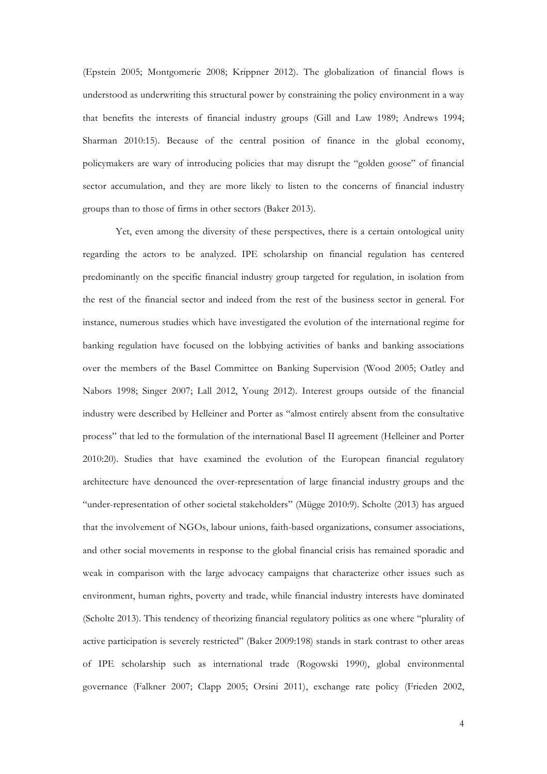(Epstein 2005; Montgomerie 2008; Krippner 2012). The globalization of financial flows is understood as underwriting this structural power by constraining the policy environment in a way that benefits the interests of financial industry groups (Gill and Law 1989; Andrews 1994; Sharman 2010:15). Because of the central position of finance in the global economy, policymakers are wary of introducing policies that may disrupt the "golden goose" of financial sector accumulation, and they are more likely to listen to the concerns of financial industry groups than to those of firms in other sectors (Baker 2013).

Yet, even among the diversity of these perspectives, there is a certain ontological unity regarding the actors to be analyzed. IPE scholarship on financial regulation has centered predominantly on the specific financial industry group targeted for regulation, in isolation from the rest of the financial sector and indeed from the rest of the business sector in general. For instance, numerous studies which have investigated the evolution of the international regime for banking regulation have focused on the lobbying activities of banks and banking associations over the members of the Basel Committee on Banking Supervision (Wood 2005; Oatley and Nabors 1998; Singer 2007; Lall 2012, Young 2012). Interest groups outside of the financial industry were described by Helleiner and Porter as "almost entirely absent from the consultative process" that led to the formulation of the international Basel II agreement (Helleiner and Porter 2010:20). Studies that have examined the evolution of the European financial regulatory architecture have denounced the over-representation of large financial industry groups and the "under-representation of other societal stakeholders" (Mügge 2010:9). Scholte (2013) has argued that the involvement of NGOs, labour unions, faith-based organizations, consumer associations, and other social movements in response to the global financial crisis has remained sporadic and weak in comparison with the large advocacy campaigns that characterize other issues such as environment, human rights, poverty and trade, while financial industry interests have dominated (Scholte 2013). This tendency of theorizing financial regulatory politics as one where "plurality of active participation is severely restricted" (Baker 2009:198) stands in stark contrast to other areas of IPE scholarship such as international trade (Rogowski 1990), global environmental governance (Falkner 2007; Clapp 2005; Orsini 2011), exchange rate policy (Frieden 2002,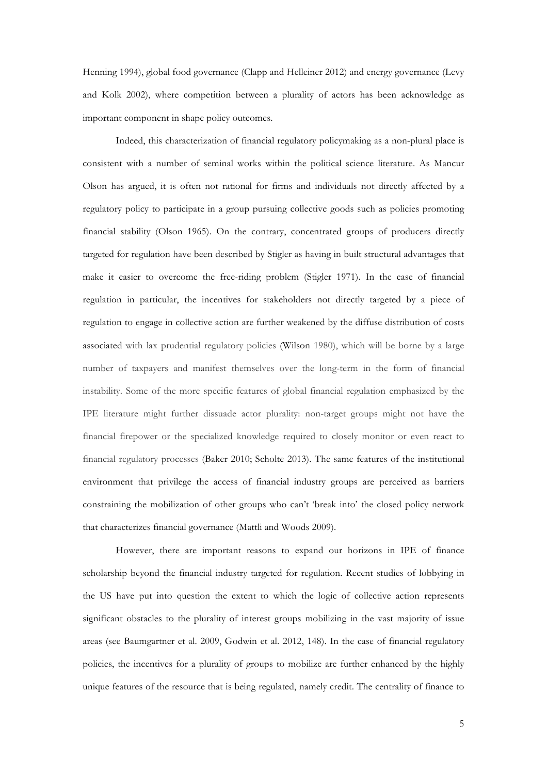Henning 1994), global food governance (Clapp and Helleiner 2012) and energy governance (Levy and Kolk 2002), where competition between a plurality of actors has been acknowledge as important component in shape policy outcomes.

Indeed, this characterization of financial regulatory policymaking as a non-plural place is consistent with a number of seminal works within the political science literature. As Mancur Olson has argued, it is often not rational for firms and individuals not directly affected by a regulatory policy to participate in a group pursuing collective goods such as policies promoting financial stability (Olson 1965). On the contrary, concentrated groups of producers directly targeted for regulation have been described by Stigler as having in built structural advantages that make it easier to overcome the free-riding problem (Stigler 1971). In the case of financial regulation in particular, the incentives for stakeholders not directly targeted by a piece of regulation to engage in collective action are further weakened by the diffuse distribution of costs associated with lax prudential regulatory policies (Wilson 1980), which will be borne by a large number of taxpayers and manifest themselves over the long-term in the form of financial instability. Some of the more specific features of global financial regulation emphasized by the IPE literature might further dissuade actor plurality: non-target groups might not have the financial firepower or the specialized knowledge required to closely monitor or even react to financial regulatory processes (Baker 2010; Scholte 2013). The same features of the institutional environment that privilege the access of financial industry groups are perceived as barriers constraining the mobilization of other groups who can't 'break into' the closed policy network that characterizes financial governance (Mattli and Woods 2009).

However, there are important reasons to expand our horizons in IPE of finance scholarship beyond the financial industry targeted for regulation. Recent studies of lobbying in the US have put into question the extent to which the logic of collective action represents significant obstacles to the plurality of interest groups mobilizing in the vast majority of issue areas (see Baumgartner et al. 2009, Godwin et al. 2012, 148). In the case of financial regulatory policies, the incentives for a plurality of groups to mobilize are further enhanced by the highly unique features of the resource that is being regulated, namely credit. The centrality of finance to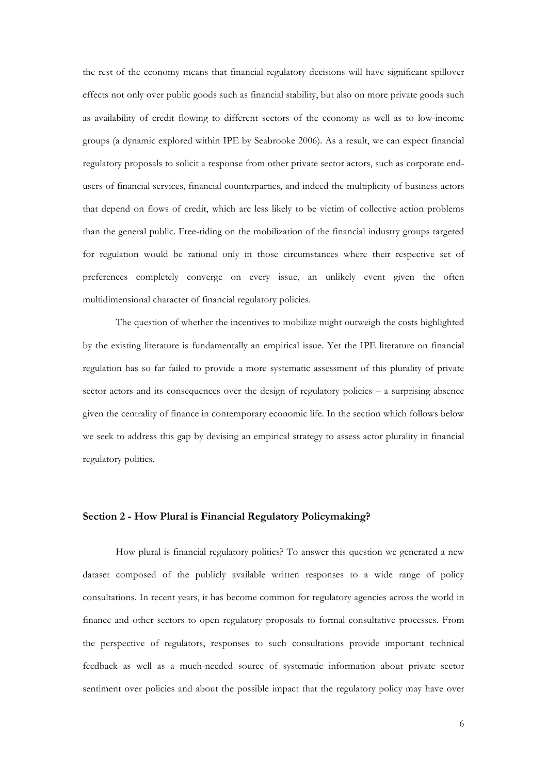the rest of the economy means that financial regulatory decisions will have significant spillover effects not only over public goods such as financial stability, but also on more private goods such as availability of credit flowing to different sectors of the economy as well as to low-income groups (a dynamic explored within IPE by Seabrooke 2006). As a result, we can expect financial regulatory proposals to solicit a response from other private sector actors, such as corporate endusers of financial services, financial counterparties, and indeed the multiplicity of business actors that depend on flows of credit, which are less likely to be victim of collective action problems than the general public. Free-riding on the mobilization of the financial industry groups targeted for regulation would be rational only in those circumstances where their respective set of preferences completely converge on every issue, an unlikely event given the often multidimensional character of financial regulatory policies.

The question of whether the incentives to mobilize might outweigh the costs highlighted by the existing literature is fundamentally an empirical issue. Yet the IPE literature on financial regulation has so far failed to provide a more systematic assessment of this plurality of private sector actors and its consequences over the design of regulatory policies – a surprising absence given the centrality of finance in contemporary economic life. In the section which follows below we seek to address this gap by devising an empirical strategy to assess actor plurality in financial regulatory politics.

#### **Section 2 - How Plural is Financial Regulatory Policymaking?**

How plural is financial regulatory politics? To answer this question we generated a new dataset composed of the publicly available written responses to a wide range of policy consultations. In recent years, it has become common for regulatory agencies across the world in finance and other sectors to open regulatory proposals to formal consultative processes. From the perspective of regulators, responses to such consultations provide important technical feedback as well as a much-needed source of systematic information about private sector sentiment over policies and about the possible impact that the regulatory policy may have over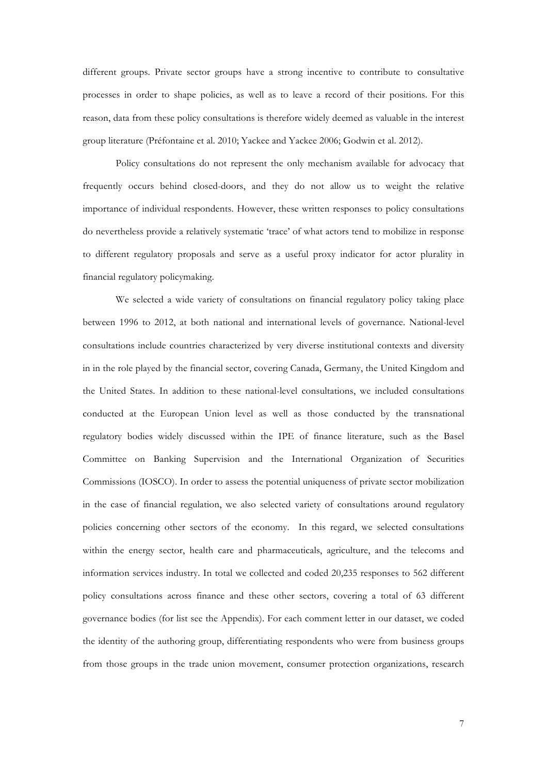different groups. Private sector groups have a strong incentive to contribute to consultative processes in order to shape policies, as well as to leave a record of their positions. For this reason, data from these policy consultations is therefore widely deemed as valuable in the interest group literature (Préfontaine et al. 2010; Yackee and Yackee 2006; Godwin et al. 2012).

Policy consultations do not represent the only mechanism available for advocacy that frequently occurs behind closed-doors, and they do not allow us to weight the relative importance of individual respondents. However, these written responses to policy consultations do nevertheless provide a relatively systematic 'trace' of what actors tend to mobilize in response to different regulatory proposals and serve as a useful proxy indicator for actor plurality in financial regulatory policymaking.

We selected a wide variety of consultations on financial regulatory policy taking place between 1996 to 2012, at both national and international levels of governance. National-level consultations include countries characterized by very diverse institutional contexts and diversity in in the role played by the financial sector, covering Canada, Germany, the United Kingdom and the United States. In addition to these national-level consultations, we included consultations conducted at the European Union level as well as those conducted by the transnational regulatory bodies widely discussed within the IPE of finance literature, such as the Basel Committee on Banking Supervision and the International Organization of Securities Commissions (IOSCO). In order to assess the potential uniqueness of private sector mobilization in the case of financial regulation, we also selected variety of consultations around regulatory policies concerning other sectors of the economy. In this regard, we selected consultations within the energy sector, health care and pharmaceuticals, agriculture, and the telecoms and information services industry. In total we collected and coded 20,235 responses to 562 different policy consultations across finance and these other sectors, covering a total of 63 different governance bodies (for list see the Appendix). For each comment letter in our dataset, we coded the identity of the authoring group, differentiating respondents who were from business groups from those groups in the trade union movement, consumer protection organizations, research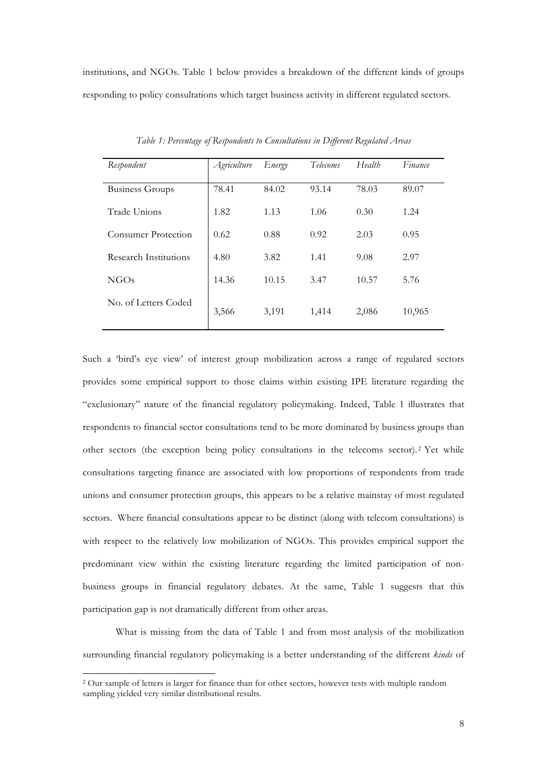institutions, and NGOs. Table 1 below provides a breakdown of the different kinds of groups responding to policy consultations which target business activity in different regulated sectors.

| Respondent             | Agriculture | Energy | Telecoms | Health | Finance |
|------------------------|-------------|--------|----------|--------|---------|
| <b>Business Groups</b> | 78.41       | 84.02  | 93.14    | 78.03  | 89.07   |
| Trade Unions           | 1.82        | 1.13   | 1.06     | 0.30   | 1.24    |
| Consumer Protection    | 0.62        | 0.88   | 0.92     | 2.03   | 0.95    |
| Research Institutions  | 4.80        | 3.82   | 1.41     | 9.08   | 2.97    |
| NGOs                   | 14.36       | 10.15  | 3.47     | 10.57  | 5.76    |
| No. of Letters Coded   | 3,566       | 3,191  | 1,414    | 2,086  | 10,965  |

*Table 1: Percentage of Respondents to Consultations in Different Regulated Areas*

Such a 'bird's eye view' of interest group mobilization across a range of regulated sectors provides some empirical support to those claims within existing IPE literature regarding the "exclusionary" nature of the financial regulatory policymaking. Indeed, Table 1 illustrates that respondents to financial sector consultations tend to be more dominated by business groups than other sectors (the exception being policy consultations in the telecoms sector).<sup>2</sup> Yet while consultations targeting finance are associated with low proportions of respondents from trade unions and consumer protection groups, this appears to be a relative mainstay of most regulated sectors. Where financial consultations appear to be distinct (along with telecom consultations) is with respect to the relatively low mobilization of NGOs. This provides empirical support the predominant view within the existing literature regarding the limited participation of nonbusiness groups in financial regulatory debates. At the same, Table 1 suggests that this participation gap is not dramatically different from other areas.

What is missing from the data of Table 1 and from most analysis of the mobilization surrounding financial regulatory policymaking is a better understanding of the different *kinds* of

 

<sup>2</sup> Our sample of letters is larger for finance than for other sectors, however tests with multiple random sampling yielded very similar distributional results.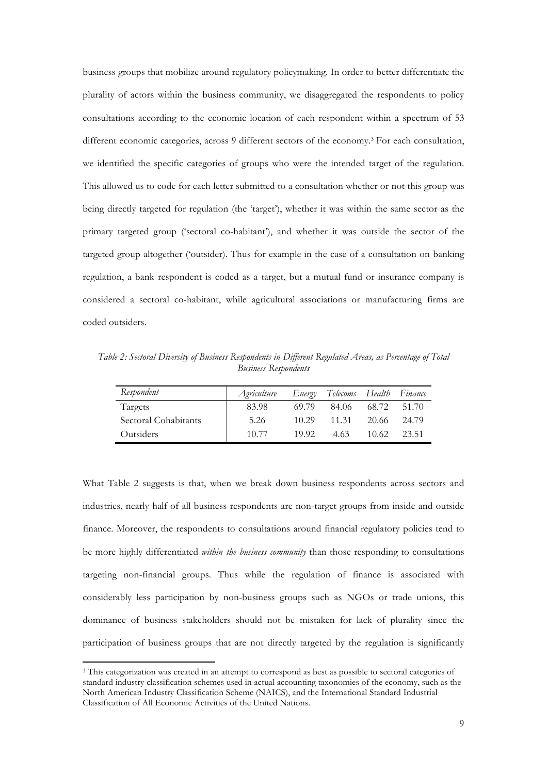business groups that mobilize around regulatory policymaking. In order to better differentiate the plurality of actors within the business community, we disaggregated the respondents to policy consultations according to the economic location of each respondent within a spectrum of 53 different economic categories, across 9 different sectors of the economy.3 For each consultation, we identified the specific categories of groups who were the intended target of the regulation. This allowed us to code for each letter submitted to a consultation whether or not this group was being directly targeted for regulation (the 'target'), whether it was within the same sector as the primary targeted group ('sectoral co-habitant'), and whether it was outside the sector of the targeted group altogether ('outsider). Thus for example in the case of a consultation on banking regulation, a bank respondent is coded as a target, but a mutual fund or insurance company is considered a sectoral co-habitant, while agricultural associations or manufacturing firms are coded outsiders.

*Table 2: Sectoral Diversity of Business Respondents in Different Regulated Areas, as Percentage of Total Business Respondents*

| Respondent           | Agriculture |       | Energy Telecoms Health Finance |       |       |
|----------------------|-------------|-------|--------------------------------|-------|-------|
| Targets              | 83.98       | 69.79 | 84.06                          | 68.72 | 51.70 |
| Sectoral Cohabitants | 5.26        | 10.29 | 11.31                          | 20.66 | 24.79 |
| Outsiders            | 10.77       | 19.92 | 4.63                           | 10.62 | 23.51 |

What Table 2 suggests is that, when we break down business respondents across sectors and industries, nearly half of all business respondents are non-target groups from inside and outside finance. Moreover, the respondents to consultations around financial regulatory policies tend to be more highly differentiated *within the business community* than those responding to consultations targeting non-financial groups. Thus while the regulation of finance is associated with considerably less participation by non-business groups such as NGOs or trade unions, this dominance of business stakeholders should not be mistaken for lack of plurality since the participation of business groups that are not directly targeted by the regulation is significantly

<u> 1989 - Jan Samuel Barbara, margaret e</u>

<sup>&</sup>lt;sup>3</sup> This categorization was created in an attempt to correspond as best as possible to sectoral categories of standard industry classification schemes used in actual accounting taxonomies of the economy, such as the North American Industry Classification Scheme (NAICS), and the International Standard Industrial Classification of All Economic Activities of the United Nations.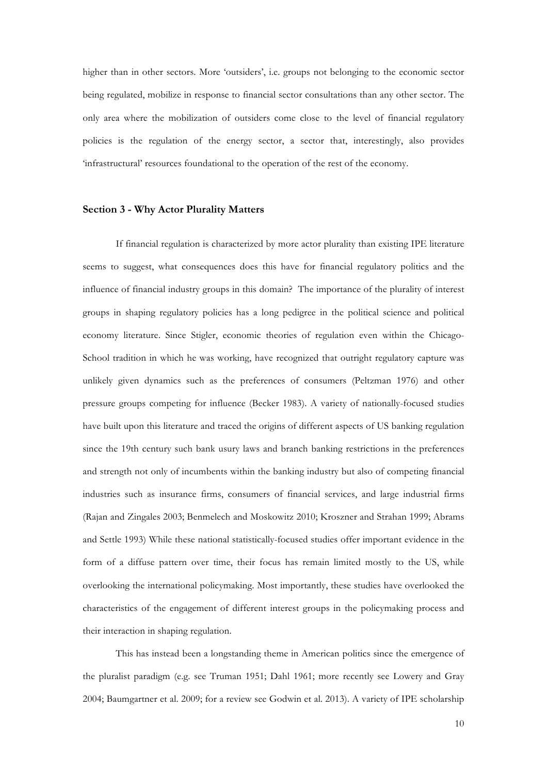higher than in other sectors. More 'outsiders', i.e. groups not belonging to the economic sector being regulated, mobilize in response to financial sector consultations than any other sector. The only area where the mobilization of outsiders come close to the level of financial regulatory policies is the regulation of the energy sector, a sector that, interestingly, also provides 'infrastructural' resources foundational to the operation of the rest of the economy.

#### **Section 3 - Why Actor Plurality Matters**

If financial regulation is characterized by more actor plurality than existing IPE literature seems to suggest, what consequences does this have for financial regulatory politics and the influence of financial industry groups in this domain? The importance of the plurality of interest groups in shaping regulatory policies has a long pedigree in the political science and political economy literature. Since Stigler, economic theories of regulation even within the Chicago-School tradition in which he was working, have recognized that outright regulatory capture was unlikely given dynamics such as the preferences of consumers (Peltzman 1976) and other pressure groups competing for influence (Becker 1983). A variety of nationally-focused studies have built upon this literature and traced the origins of different aspects of US banking regulation since the 19th century such bank usury laws and branch banking restrictions in the preferences and strength not only of incumbents within the banking industry but also of competing financial industries such as insurance firms, consumers of financial services, and large industrial firms (Rajan and Zingales 2003; Benmelech and Moskowitz 2010; Kroszner and Strahan 1999; Abrams and Settle 1993) While these national statistically-focused studies offer important evidence in the form of a diffuse pattern over time, their focus has remain limited mostly to the US, while overlooking the international policymaking. Most importantly, these studies have overlooked the characteristics of the engagement of different interest groups in the policymaking process and their interaction in shaping regulation.

This has instead been a longstanding theme in American politics since the emergence of the pluralist paradigm (e.g. see Truman 1951; Dahl 1961; more recently see Lowery and Gray 2004; Baumgartner et al. 2009; for a review see Godwin et al. 2013). A variety of IPE scholarship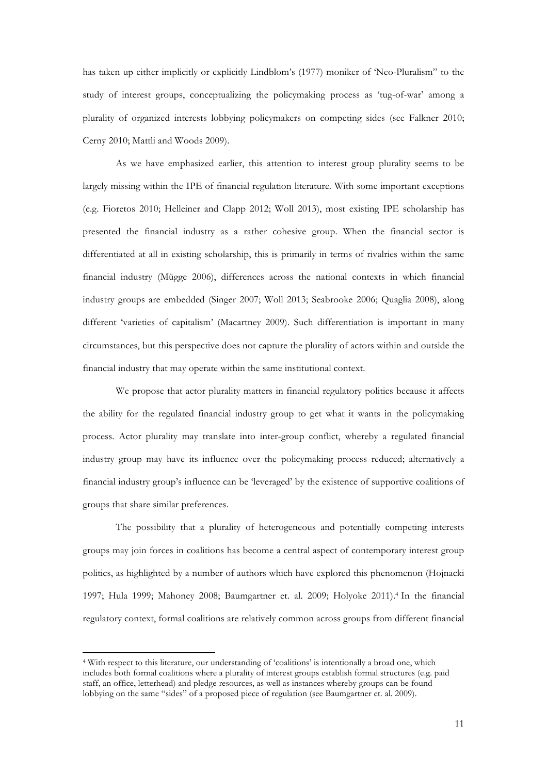has taken up either implicitly or explicitly Lindblom's (1977) moniker of 'Neo-Pluralism" to the study of interest groups, conceptualizing the policymaking process as 'tug-of-war' among a plurality of organized interests lobbying policymakers on competing sides (see Falkner 2010; Cerny 2010; Mattli and Woods 2009).

As we have emphasized earlier, this attention to interest group plurality seems to be largely missing within the IPE of financial regulation literature. With some important exceptions (e.g. Fioretos 2010; Helleiner and Clapp 2012; Woll 2013), most existing IPE scholarship has presented the financial industry as a rather cohesive group. When the financial sector is differentiated at all in existing scholarship, this is primarily in terms of rivalries within the same financial industry (Mügge 2006), differences across the national contexts in which financial industry groups are embedded (Singer 2007; Woll 2013; Seabrooke 2006; Quaglia 2008), along different 'varieties of capitalism' (Macartney 2009). Such differentiation is important in many circumstances, but this perspective does not capture the plurality of actors within and outside the financial industry that may operate within the same institutional context.

We propose that actor plurality matters in financial regulatory politics because it affects the ability for the regulated financial industry group to get what it wants in the policymaking process. Actor plurality may translate into inter-group conflict, whereby a regulated financial industry group may have its influence over the policymaking process reduced; alternatively a financial industry group's influence can be 'leveraged' by the existence of supportive coalitions of groups that share similar preferences.

The possibility that a plurality of heterogeneous and potentially competing interests groups may join forces in coalitions has become a central aspect of contemporary interest group politics, as highlighted by a number of authors which have explored this phenomenon (Hojnacki 1997; Hula 1999; Mahoney 2008; Baumgartner et. al. 2009; Holyoke 2011).4 In the financial regulatory context, formal coalitions are relatively common across groups from different financial

<u> 1989 - Jan Samuel Barbara, margaret e</u>

<sup>4</sup> With respect to this literature, our understanding of 'coalitions' is intentionally a broad one, which includes both formal coalitions where a plurality of interest groups establish formal structures (e.g. paid staff, an office, letterhead) and pledge resources, as well as instances whereby groups can be found lobbying on the same "sides" of a proposed piece of regulation (see Baumgartner et. al. 2009).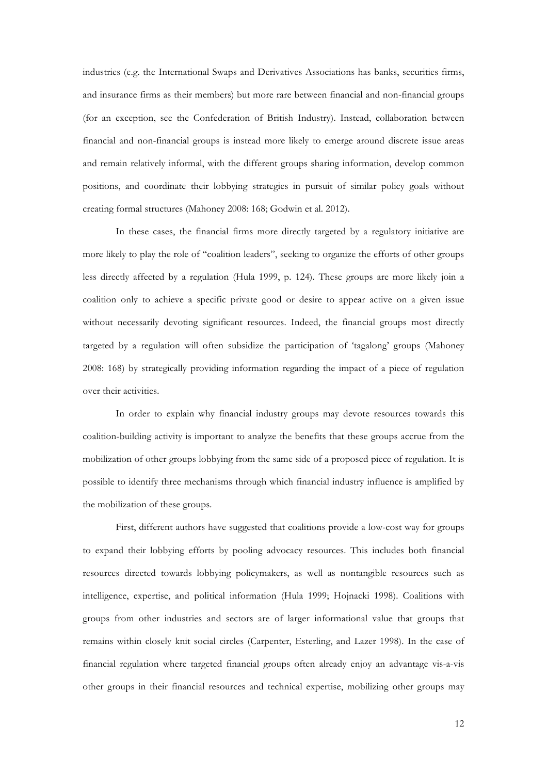industries (e.g. the International Swaps and Derivatives Associations has banks, securities firms, and insurance firms as their members) but more rare between financial and non-financial groups (for an exception, see the Confederation of British Industry). Instead, collaboration between financial and non-financial groups is instead more likely to emerge around discrete issue areas and remain relatively informal, with the different groups sharing information, develop common positions, and coordinate their lobbying strategies in pursuit of similar policy goals without creating formal structures (Mahoney 2008: 168; Godwin et al. 2012).

In these cases, the financial firms more directly targeted by a regulatory initiative are more likely to play the role of "coalition leaders", seeking to organize the efforts of other groups less directly affected by a regulation (Hula 1999, p. 124). These groups are more likely join a coalition only to achieve a specific private good or desire to appear active on a given issue without necessarily devoting significant resources. Indeed, the financial groups most directly targeted by a regulation will often subsidize the participation of 'tagalong' groups (Mahoney 2008: 168) by strategically providing information regarding the impact of a piece of regulation over their activities.

In order to explain why financial industry groups may devote resources towards this coalition-building activity is important to analyze the benefits that these groups accrue from the mobilization of other groups lobbying from the same side of a proposed piece of regulation. It is possible to identify three mechanisms through which financial industry influence is amplified by the mobilization of these groups.

First, different authors have suggested that coalitions provide a low-cost way for groups to expand their lobbying efforts by pooling advocacy resources. This includes both financial resources directed towards lobbying policymakers, as well as nontangible resources such as intelligence, expertise, and political information (Hula 1999; Hojnacki 1998). Coalitions with groups from other industries and sectors are of larger informational value that groups that remains within closely knit social circles (Carpenter, Esterling, and Lazer 1998). In the case of financial regulation where targeted financial groups often already enjoy an advantage vis-a-vis other groups in their financial resources and technical expertise, mobilizing other groups may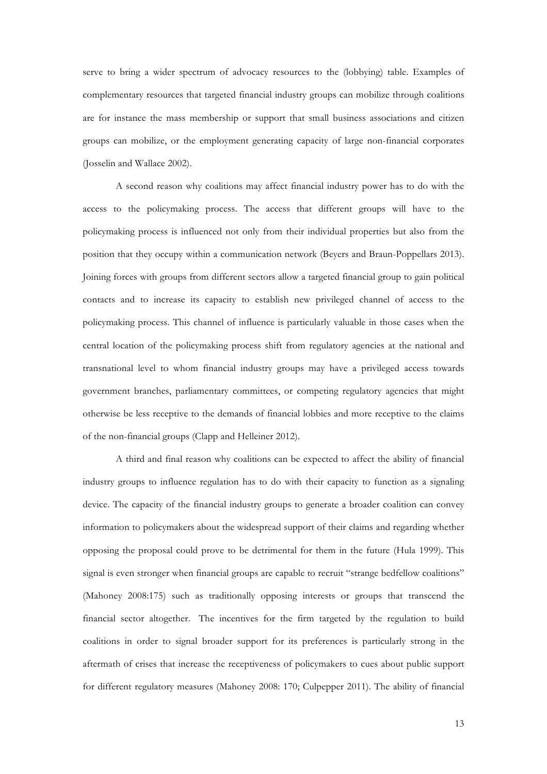serve to bring a wider spectrum of advocacy resources to the (lobbying) table. Examples of complementary resources that targeted financial industry groups can mobilize through coalitions are for instance the mass membership or support that small business associations and citizen groups can mobilize, or the employment generating capacity of large non-financial corporates (Josselin and Wallace 2002).

A second reason why coalitions may affect financial industry power has to do with the access to the policymaking process. The access that different groups will have to the policymaking process is influenced not only from their individual properties but also from the position that they occupy within a communication network (Beyers and Braun-Poppellars 2013). Joining forces with groups from different sectors allow a targeted financial group to gain political contacts and to increase its capacity to establish new privileged channel of access to the policymaking process. This channel of influence is particularly valuable in those cases when the central location of the policymaking process shift from regulatory agencies at the national and transnational level to whom financial industry groups may have a privileged access towards government branches, parliamentary committees, or competing regulatory agencies that might otherwise be less receptive to the demands of financial lobbies and more receptive to the claims of the non-financial groups (Clapp and Helleiner 2012).

A third and final reason why coalitions can be expected to affect the ability of financial industry groups to influence regulation has to do with their capacity to function as a signaling device. The capacity of the financial industry groups to generate a broader coalition can convey information to policymakers about the widespread support of their claims and regarding whether opposing the proposal could prove to be detrimental for them in the future (Hula 1999). This signal is even stronger when financial groups are capable to recruit "strange bedfellow coalitions" (Mahoney 2008:175) such as traditionally opposing interests or groups that transcend the financial sector altogether. The incentives for the firm targeted by the regulation to build coalitions in order to signal broader support for its preferences is particularly strong in the aftermath of crises that increase the receptiveness of policymakers to cues about public support for different regulatory measures (Mahoney 2008: 170; Culpepper 2011). The ability of financial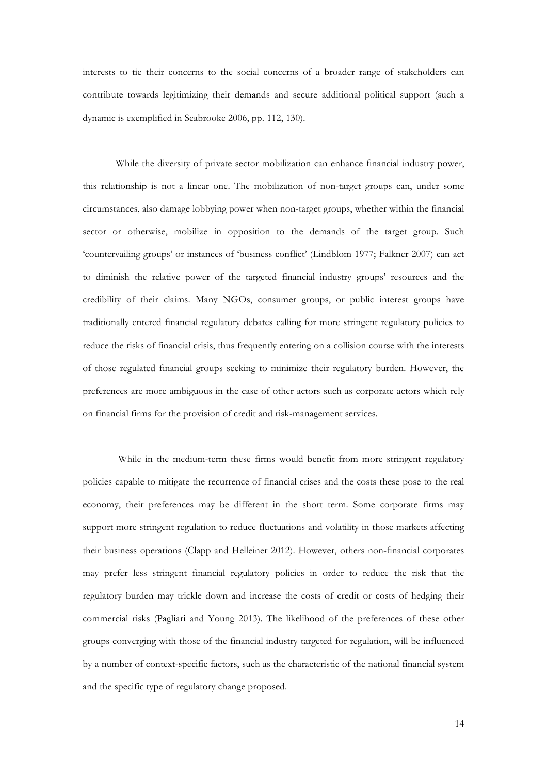interests to tie their concerns to the social concerns of a broader range of stakeholders can contribute towards legitimizing their demands and secure additional political support (such a dynamic is exemplified in Seabrooke 2006, pp. 112, 130).

While the diversity of private sector mobilization can enhance financial industry power, this relationship is not a linear one. The mobilization of non-target groups can, under some circumstances, also damage lobbying power when non-target groups, whether within the financial sector or otherwise, mobilize in opposition to the demands of the target group. Such 'countervailing groups' or instances of 'business conflict' (Lindblom 1977; Falkner 2007) can act to diminish the relative power of the targeted financial industry groups' resources and the credibility of their claims. Many NGOs, consumer groups, or public interest groups have traditionally entered financial regulatory debates calling for more stringent regulatory policies to reduce the risks of financial crisis, thus frequently entering on a collision course with the interests of those regulated financial groups seeking to minimize their regulatory burden. However, the preferences are more ambiguous in the case of other actors such as corporate actors which rely on financial firms for the provision of credit and risk-management services.

While in the medium-term these firms would benefit from more stringent regulatory policies capable to mitigate the recurrence of financial crises and the costs these pose to the real economy, their preferences may be different in the short term. Some corporate firms may support more stringent regulation to reduce fluctuations and volatility in those markets affecting their business operations (Clapp and Helleiner 2012). However, others non-financial corporates may prefer less stringent financial regulatory policies in order to reduce the risk that the regulatory burden may trickle down and increase the costs of credit or costs of hedging their commercial risks (Pagliari and Young 2013). The likelihood of the preferences of these other groups converging with those of the financial industry targeted for regulation, will be influenced by a number of context-specific factors, such as the characteristic of the national financial system and the specific type of regulatory change proposed.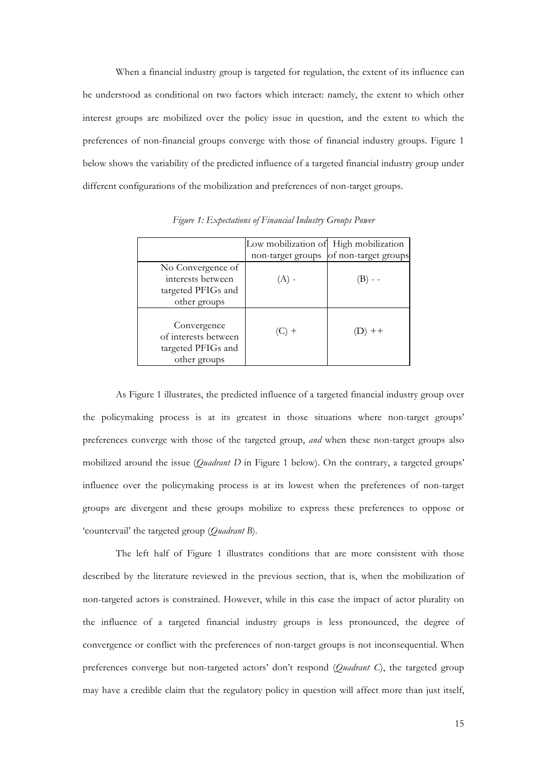When a financial industry group is targeted for regulation, the extent of its influence can be understood as conditional on two factors which interact: namely, the extent to which other interest groups are mobilized over the policy issue in question, and the extent to which the preferences of non-financial groups converge with those of financial industry groups. Figure 1 below shows the variability of the predicted influence of a targeted financial industry group under different configurations of the mobilization and preferences of non-target groups.

|                                                                              | Low mobilization of High mobilization<br>non-target groups | of non-target groups |
|------------------------------------------------------------------------------|------------------------------------------------------------|----------------------|
| No Convergence of<br>interests between<br>targeted PFIGs and<br>other groups | (A) -                                                      |                      |
| Convergence<br>of interests between<br>targeted PFIGs and<br>other groups    | (C) +                                                      | (D) ++               |

*Figure 1: Expectations of Financial Industry Groups Power* 

As Figure 1 illustrates, the predicted influence of a targeted financial industry group over the policymaking process is at its greatest in those situations where non-target groups' preferences converge with those of the targeted group, *and* when these non-target groups also mobilized around the issue (*Quadrant D* in Figure 1 below). On the contrary, a targeted groups' influence over the policymaking process is at its lowest when the preferences of non-target groups are divergent and these groups mobilize to express these preferences to oppose or 'countervail' the targeted group (*Quadrant B*).

The left half of Figure 1 illustrates conditions that are more consistent with those described by the literature reviewed in the previous section, that is, when the mobilization of non-targeted actors is constrained. However, while in this case the impact of actor plurality on the influence of a targeted financial industry groups is less pronounced, the degree of convergence or conflict with the preferences of non-target groups is not inconsequential. When preferences converge but non-targeted actors' don't respond (*Quadrant C*), the targeted group may have a credible claim that the regulatory policy in question will affect more than just itself,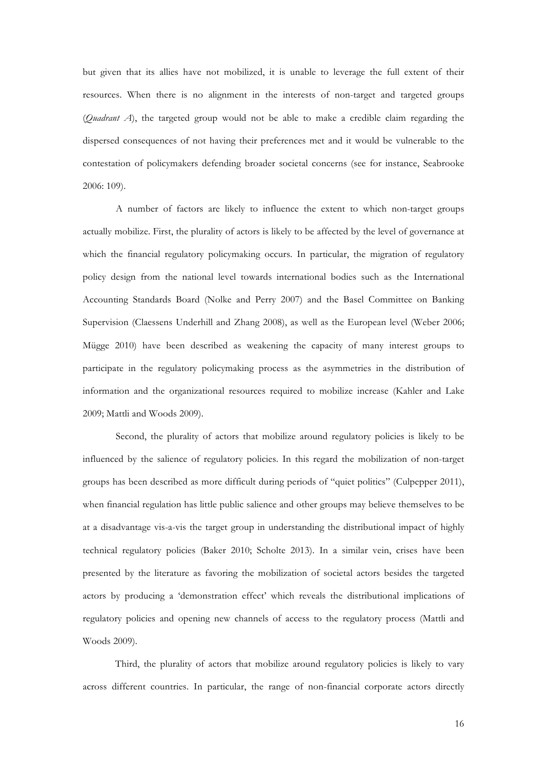but given that its allies have not mobilized, it is unable to leverage the full extent of their resources. When there is no alignment in the interests of non-target and targeted groups (*Quadrant A*), the targeted group would not be able to make a credible claim regarding the dispersed consequences of not having their preferences met and it would be vulnerable to the contestation of policymakers defending broader societal concerns (see for instance, Seabrooke 2006: 109).

A number of factors are likely to influence the extent to which non-target groups actually mobilize. First, the plurality of actors is likely to be affected by the level of governance at which the financial regulatory policymaking occurs. In particular, the migration of regulatory policy design from the national level towards international bodies such as the International Accounting Standards Board (Nolke and Perry 2007) and the Basel Committee on Banking Supervision (Claessens Underhill and Zhang 2008), as well as the European level (Weber 2006; Mügge 2010) have been described as weakening the capacity of many interest groups to participate in the regulatory policymaking process as the asymmetries in the distribution of information and the organizational resources required to mobilize increase (Kahler and Lake 2009; Mattli and Woods 2009).

Second, the plurality of actors that mobilize around regulatory policies is likely to be influenced by the salience of regulatory policies. In this regard the mobilization of non-target groups has been described as more difficult during periods of "quiet politics" (Culpepper 2011), when financial regulation has little public salience and other groups may believe themselves to be at a disadvantage vis-a-vis the target group in understanding the distributional impact of highly technical regulatory policies (Baker 2010; Scholte 2013). In a similar vein, crises have been presented by the literature as favoring the mobilization of societal actors besides the targeted actors by producing a 'demonstration effect' which reveals the distributional implications of regulatory policies and opening new channels of access to the regulatory process (Mattli and Woods 2009).

Third, the plurality of actors that mobilize around regulatory policies is likely to vary across different countries. In particular, the range of non-financial corporate actors directly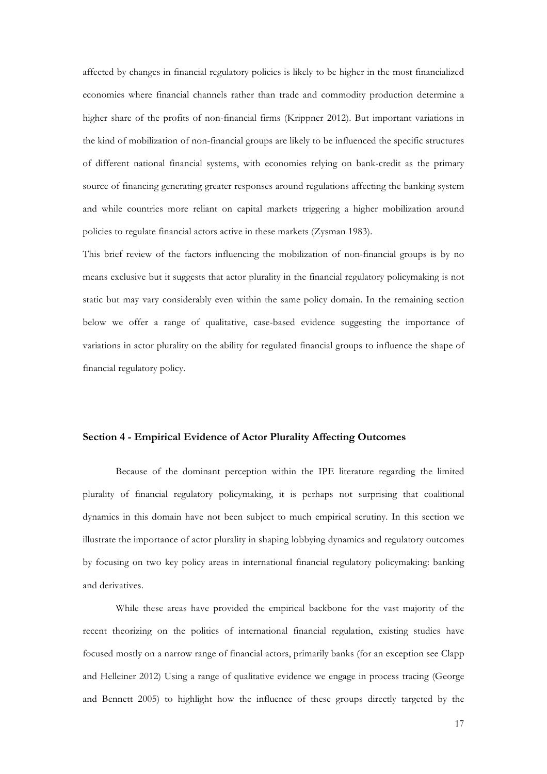affected by changes in financial regulatory policies is likely to be higher in the most financialized economies where financial channels rather than trade and commodity production determine a higher share of the profits of non-financial firms (Krippner 2012). But important variations in the kind of mobilization of non-financial groups are likely to be influenced the specific structures of different national financial systems, with economies relying on bank-credit as the primary source of financing generating greater responses around regulations affecting the banking system and while countries more reliant on capital markets triggering a higher mobilization around policies to regulate financial actors active in these markets (Zysman 1983).

This brief review of the factors influencing the mobilization of non-financial groups is by no means exclusive but it suggests that actor plurality in the financial regulatory policymaking is not static but may vary considerably even within the same policy domain. In the remaining section below we offer a range of qualitative, case-based evidence suggesting the importance of variations in actor plurality on the ability for regulated financial groups to influence the shape of financial regulatory policy.

#### **Section 4 - Empirical Evidence of Actor Plurality Affecting Outcomes**

Because of the dominant perception within the IPE literature regarding the limited plurality of financial regulatory policymaking, it is perhaps not surprising that coalitional dynamics in this domain have not been subject to much empirical scrutiny. In this section we illustrate the importance of actor plurality in shaping lobbying dynamics and regulatory outcomes by focusing on two key policy areas in international financial regulatory policymaking: banking and derivatives.

While these areas have provided the empirical backbone for the vast majority of the recent theorizing on the politics of international financial regulation, existing studies have focused mostly on a narrow range of financial actors, primarily banks (for an exception see Clapp and Helleiner 2012) Using a range of qualitative evidence we engage in process tracing (George and Bennett 2005) to highlight how the influence of these groups directly targeted by the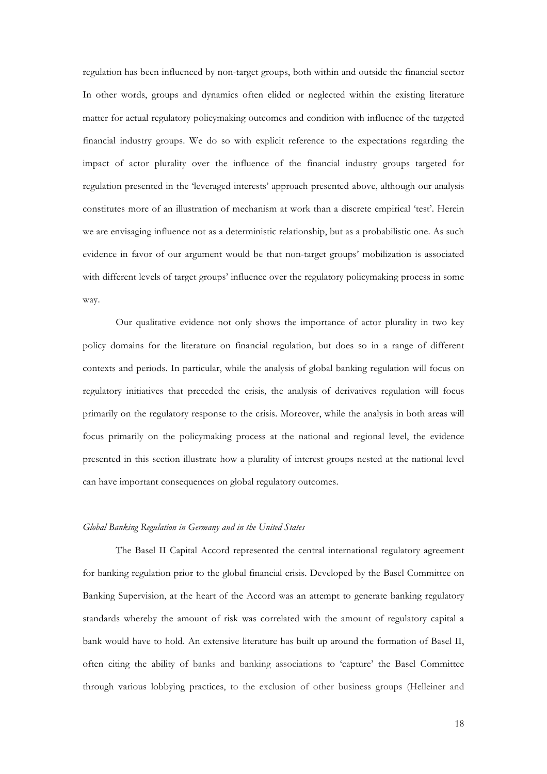regulation has been influenced by non-target groups, both within and outside the financial sector In other words, groups and dynamics often elided or neglected within the existing literature matter for actual regulatory policymaking outcomes and condition with influence of the targeted financial industry groups. We do so with explicit reference to the expectations regarding the impact of actor plurality over the influence of the financial industry groups targeted for regulation presented in the 'leveraged interests' approach presented above, although our analysis constitutes more of an illustration of mechanism at work than a discrete empirical 'test'. Herein we are envisaging influence not as a deterministic relationship, but as a probabilistic one. As such evidence in favor of our argument would be that non-target groups' mobilization is associated with different levels of target groups' influence over the regulatory policymaking process in some way.

Our qualitative evidence not only shows the importance of actor plurality in two key policy domains for the literature on financial regulation, but does so in a range of different contexts and periods. In particular, while the analysis of global banking regulation will focus on regulatory initiatives that preceded the crisis, the analysis of derivatives regulation will focus primarily on the regulatory response to the crisis. Moreover, while the analysis in both areas will focus primarily on the policymaking process at the national and regional level, the evidence presented in this section illustrate how a plurality of interest groups nested at the national level can have important consequences on global regulatory outcomes.

#### *Global Banking Regulation in Germany and in the United States*

The Basel II Capital Accord represented the central international regulatory agreement for banking regulation prior to the global financial crisis. Developed by the Basel Committee on Banking Supervision, at the heart of the Accord was an attempt to generate banking regulatory standards whereby the amount of risk was correlated with the amount of regulatory capital a bank would have to hold. An extensive literature has built up around the formation of Basel II, often citing the ability of banks and banking associations to 'capture' the Basel Committee through various lobbying practices, to the exclusion of other business groups (Helleiner and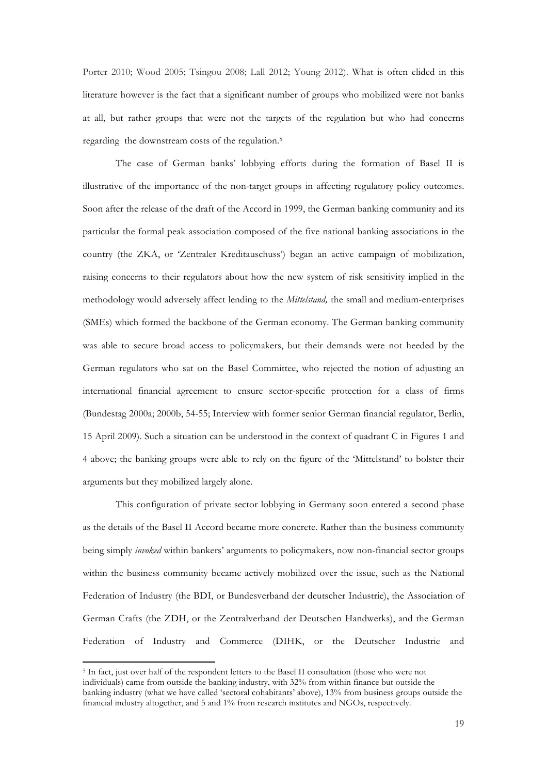Porter 2010; Wood 2005; Tsingou 2008; Lall 2012; Young 2012). What is often elided in this literature however is the fact that a significant number of groups who mobilized were not banks at all, but rather groups that were not the targets of the regulation but who had concerns regarding the downstream costs of the regulation.5

The case of German banks' lobbying efforts during the formation of Basel II is illustrative of the importance of the non-target groups in affecting regulatory policy outcomes. Soon after the release of the draft of the Accord in 1999, the German banking community and its particular the formal peak association composed of the five national banking associations in the country (the ZKA, or 'Zentraler Kreditauschuss') began an active campaign of mobilization, raising concerns to their regulators about how the new system of risk sensitivity implied in the methodology would adversely affect lending to the *Mittelstand,* the small and medium-enterprises (SMEs) which formed the backbone of the German economy. The German banking community was able to secure broad access to policymakers, but their demands were not heeded by the German regulators who sat on the Basel Committee, who rejected the notion of adjusting an international financial agreement to ensure sector-specific protection for a class of firms (Bundestag 2000a; 2000b, 54-55; Interview with former senior German financial regulator, Berlin, 15 April 2009). Such a situation can be understood in the context of quadrant C in Figures 1 and 4 above; the banking groups were able to rely on the figure of the 'Mittelstand' to bolster their arguments but they mobilized largely alone.

This configuration of private sector lobbying in Germany soon entered a second phase as the details of the Basel II Accord became more concrete. Rather than the business community being simply *invoked* within bankers' arguments to policymakers, now non-financial sector groups within the business community became actively mobilized over the issue, such as the National Federation of Industry (the BDI, or Bundesverband der deutscher Industrie), the Association of German Crafts (the ZDH, or the Zentralverband der Deutschen Handwerks), and the German Federation of Industry and Commerce (DIHK, or the Deutscher Industrie and

<u> 1989 - Jan Samuel Barbara, margaret e</u>

<sup>5</sup> In fact, just over half of the respondent letters to the Basel II consultation (those who were not individuals) came from outside the banking industry, with 32% from within finance but outside the banking industry (what we have called 'sectoral cohabitants' above), 13% from business groups outside the financial industry altogether, and 5 and 1% from research institutes and NGOs, respectively.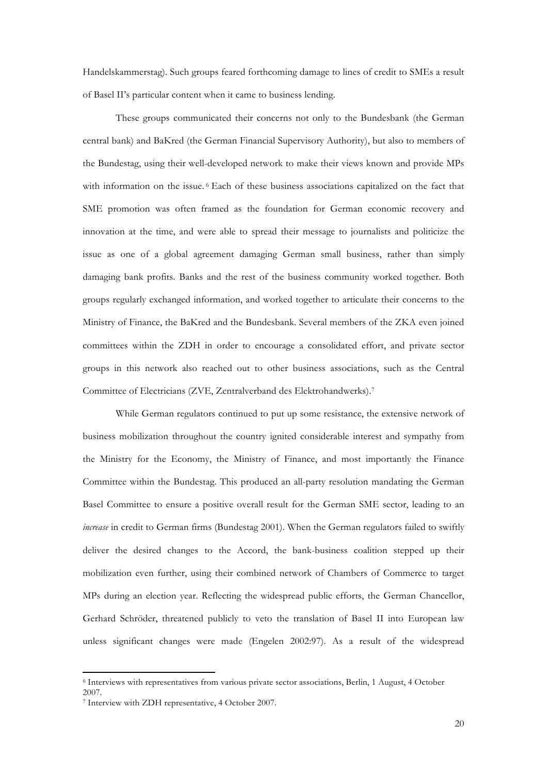Handelskammerstag). Such groups feared forthcoming damage to lines of credit to SMEs a result of Basel II's particular content when it came to business lending.

These groups communicated their concerns not only to the Bundesbank (the German central bank) and BaKred (the German Financial Supervisory Authority), but also to members of the Bundestag, using their well-developed network to make their views known and provide MPs with information on the issue. <sup>6</sup> Each of these business associations capitalized on the fact that SME promotion was often framed as the foundation for German economic recovery and innovation at the time, and were able to spread their message to journalists and politicize the issue as one of a global agreement damaging German small business, rather than simply damaging bank profits. Banks and the rest of the business community worked together. Both groups regularly exchanged information, and worked together to articulate their concerns to the Ministry of Finance, the BaKred and the Bundesbank. Several members of the ZKA even joined committees within the ZDH in order to encourage a consolidated effort, and private sector groups in this network also reached out to other business associations, such as the Central Committee of Electricians (ZVE, Zentralverband des Elektrohandwerks).7

While German regulators continued to put up some resistance, the extensive network of business mobilization throughout the country ignited considerable interest and sympathy from the Ministry for the Economy, the Ministry of Finance, and most importantly the Finance Committee within the Bundestag. This produced an all-party resolution mandating the German Basel Committee to ensure a positive overall result for the German SME sector, leading to an *increase* in credit to German firms (Bundestag 2001). When the German regulators failed to swiftly deliver the desired changes to the Accord, the bank-business coalition stepped up their mobilization even further, using their combined network of Chambers of Commerce to target MPs during an election year. Reflecting the widespread public efforts, the German Chancellor, Gerhard Schröder, threatened publicly to veto the translation of Basel II into European law unless significant changes were made (Engelen 2002:97). As a result of the widespread

<u> 1989 - Jan Samuel Barbara, margaret e</u>

<sup>6</sup> Interviews with representatives from various private sector associations, Berlin, 1 August, 4 October 2007.

<sup>7</sup> Interview with ZDH representative, 4 October 2007.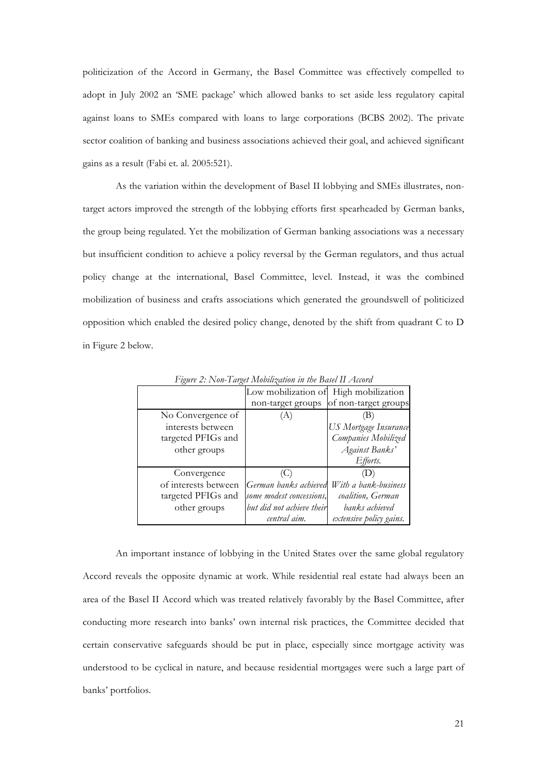politicization of the Accord in Germany, the Basel Committee was effectively compelled to adopt in July 2002 an 'SME package' which allowed banks to set aside less regulatory capital against loans to SMEs compared with loans to large corporations (BCBS 2002). The private sector coalition of banking and business associations achieved their goal, and achieved significant gains as a result (Fabi et. al. 2005:521).

As the variation within the development of Basel II lobbying and SMEs illustrates, nontarget actors improved the strength of the lobbying efforts first spearheaded by German banks, the group being regulated. Yet the mobilization of German banking associations was a necessary but insufficient condition to achieve a policy reversal by the German regulators, and thus actual policy change at the international, Basel Committee, level. Instead, it was the combined mobilization of business and crafts associations which generated the groundswell of politicized opposition which enabled the desired policy change, denoted by the shift from quadrant C to D in Figure 2 below.

|                      | Low mobilization of       | High mobilization       |
|----------------------|---------------------------|-------------------------|
|                      | non-target groups         | of non-target groups    |
| No Convergence of    | (A)                       | Ъ                       |
| interests between    |                           | US Mortgage Insurance   |
| targeted PFIGs and   |                           | Companies Mobilized     |
| other groups         |                           | Against Banks'          |
|                      |                           | Efforts.                |
| Convergence          | (C)                       | (D)                     |
| of interests between | German banks achieved     | With a bank-business    |
| targeted PFIGs and   | some modest concessions,  | coalition, German       |
| other groups         | but did not achieve their | banks achieved          |
|                      | central aim.              | extensive policy gains. |

*Figure 2: Non-Target Mobilization in the Basel II Accord*

An important instance of lobbying in the United States over the same global regulatory Accord reveals the opposite dynamic at work. While residential real estate had always been an area of the Basel II Accord which was treated relatively favorably by the Basel Committee, after conducting more research into banks' own internal risk practices, the Committee decided that certain conservative safeguards should be put in place, especially since mortgage activity was understood to be cyclical in nature, and because residential mortgages were such a large part of banks' portfolios.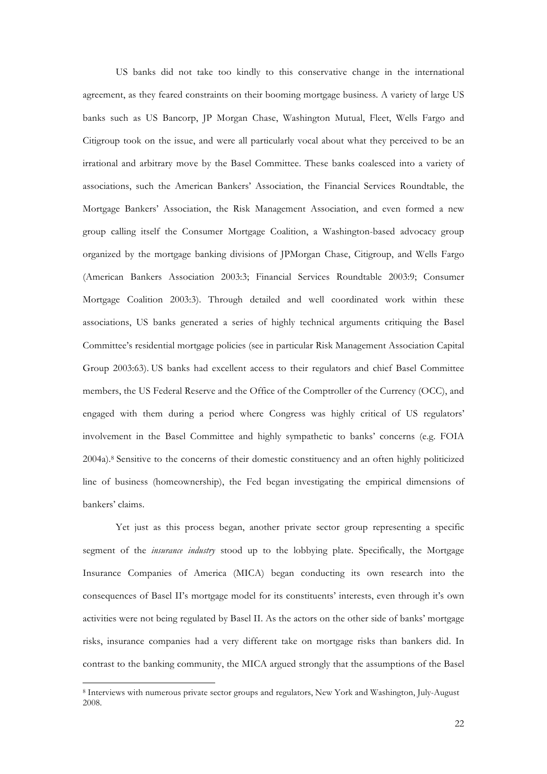US banks did not take too kindly to this conservative change in the international agreement, as they feared constraints on their booming mortgage business. A variety of large US banks such as US Bancorp, JP Morgan Chase, Washington Mutual, Fleet, Wells Fargo and Citigroup took on the issue, and were all particularly vocal about what they perceived to be an irrational and arbitrary move by the Basel Committee. These banks coalesced into a variety of associations, such the American Bankers' Association, the Financial Services Roundtable, the Mortgage Bankers' Association, the Risk Management Association, and even formed a new group calling itself the Consumer Mortgage Coalition, a Washington-based advocacy group organized by the mortgage banking divisions of JPMorgan Chase, Citigroup, and Wells Fargo (American Bankers Association 2003:3; Financial Services Roundtable 2003:9; Consumer Mortgage Coalition 2003:3). Through detailed and well coordinated work within these associations, US banks generated a series of highly technical arguments critiquing the Basel Committee's residential mortgage policies (see in particular Risk Management Association Capital Group 2003:63). US banks had excellent access to their regulators and chief Basel Committee members, the US Federal Reserve and the Office of the Comptroller of the Currency (OCC), and engaged with them during a period where Congress was highly critical of US regulators' involvement in the Basel Committee and highly sympathetic to banks' concerns (e.g. FOIA 2004a).8 Sensitive to the concerns of their domestic constituency and an often highly politicized line of business (homeownership), the Fed began investigating the empirical dimensions of bankers' claims.

Yet just as this process began, another private sector group representing a specific segment of the *insurance industry* stood up to the lobbying plate. Specifically, the Mortgage Insurance Companies of America (MICA) began conducting its own research into the consequences of Basel II's mortgage model for its constituents' interests, even through it's own activities were not being regulated by Basel II. As the actors on the other side of banks' mortgage risks, insurance companies had a very different take on mortgage risks than bankers did. In contrast to the banking community, the MICA argued strongly that the assumptions of the Basel

<u> 1989 - Jan Samuel Barbara, margaret e</u>

<sup>8</sup> Interviews with numerous private sector groups and regulators, New York and Washington, July-August 2008.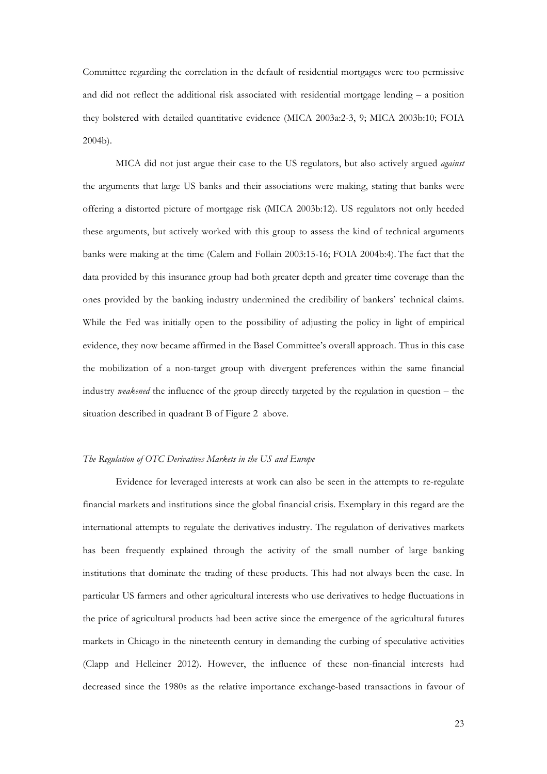Committee regarding the correlation in the default of residential mortgages were too permissive and did not reflect the additional risk associated with residential mortgage lending – a position they bolstered with detailed quantitative evidence (MICA 2003a:2-3, 9; MICA 2003b:10; FOIA 2004b).

MICA did not just argue their case to the US regulators, but also actively argued *against* the arguments that large US banks and their associations were making, stating that banks were offering a distorted picture of mortgage risk (MICA 2003b:12). US regulators not only heeded these arguments, but actively worked with this group to assess the kind of technical arguments banks were making at the time (Calem and Follain 2003:15-16; FOIA 2004b:4). The fact that the data provided by this insurance group had both greater depth and greater time coverage than the ones provided by the banking industry undermined the credibility of bankers' technical claims. While the Fed was initially open to the possibility of adjusting the policy in light of empirical evidence, they now became affirmed in the Basel Committee's overall approach. Thus in this case the mobilization of a non-target group with divergent preferences within the same financial industry *weakened* the influence of the group directly targeted by the regulation in question – the situation described in quadrant B of Figure 2 above.

#### *The Regulation of OTC Derivatives Markets in the US and Europe*

Evidence for leveraged interests at work can also be seen in the attempts to re-regulate financial markets and institutions since the global financial crisis. Exemplary in this regard are the international attempts to regulate the derivatives industry. The regulation of derivatives markets has been frequently explained through the activity of the small number of large banking institutions that dominate the trading of these products. This had not always been the case. In particular US farmers and other agricultural interests who use derivatives to hedge fluctuations in the price of agricultural products had been active since the emergence of the agricultural futures markets in Chicago in the nineteenth century in demanding the curbing of speculative activities (Clapp and Helleiner 2012). However, the influence of these non-financial interests had decreased since the 1980s as the relative importance exchange-based transactions in favour of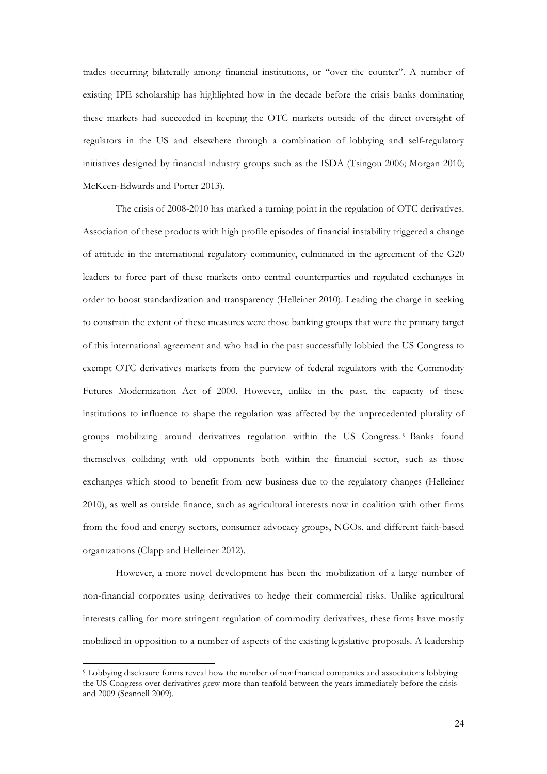trades occurring bilaterally among financial institutions, or "over the counter". A number of existing IPE scholarship has highlighted how in the decade before the crisis banks dominating these markets had succeeded in keeping the OTC markets outside of the direct oversight of regulators in the US and elsewhere through a combination of lobbying and self-regulatory initiatives designed by financial industry groups such as the ISDA (Tsingou 2006; Morgan 2010; McKeen-Edwards and Porter 2013).

The crisis of 2008-2010 has marked a turning point in the regulation of OTC derivatives. Association of these products with high profile episodes of financial instability triggered a change of attitude in the international regulatory community, culminated in the agreement of the G20 leaders to force part of these markets onto central counterparties and regulated exchanges in order to boost standardization and transparency (Helleiner 2010). Leading the charge in seeking to constrain the extent of these measures were those banking groups that were the primary target of this international agreement and who had in the past successfully lobbied the US Congress to exempt OTC derivatives markets from the purview of federal regulators with the Commodity Futures Modernization Act of 2000. However, unlike in the past, the capacity of these institutions to influence to shape the regulation was affected by the unprecedented plurality of groups mobilizing around derivatives regulation within the US Congress. <sup>9</sup> Banks found themselves colliding with old opponents both within the financial sector, such as those exchanges which stood to benefit from new business due to the regulatory changes (Helleiner 2010), as well as outside finance, such as agricultural interests now in coalition with other firms from the food and energy sectors, consumer advocacy groups, NGOs, and different faith-based organizations (Clapp and Helleiner 2012).

However, a more novel development has been the mobilization of a large number of non-financial corporates using derivatives to hedge their commercial risks. Unlike agricultural interests calling for more stringent regulation of commodity derivatives, these firms have mostly mobilized in opposition to a number of aspects of the existing legislative proposals. A leadership

<u> 1989 - Jan Samuel Barbara, margaret e</u>

<sup>9</sup> Lobbying disclosure forms reveal how the number of nonfinancial companies and associations lobbying the US Congress over derivatives grew more than tenfold between the years immediately before the crisis and 2009 (Scannell 2009).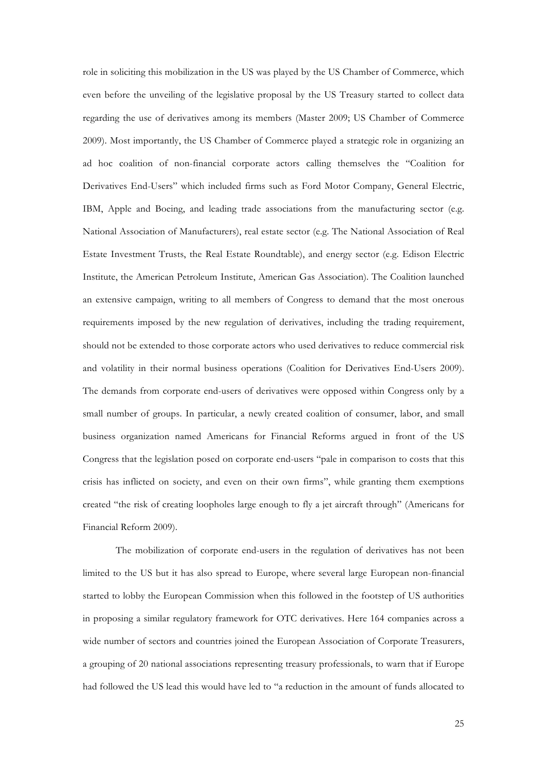role in soliciting this mobilization in the US was played by the US Chamber of Commerce, which even before the unveiling of the legislative proposal by the US Treasury started to collect data regarding the use of derivatives among its members (Master 2009; US Chamber of Commerce 2009). Most importantly, the US Chamber of Commerce played a strategic role in organizing an ad hoc coalition of non-financial corporate actors calling themselves the "Coalition for Derivatives End-Users" which included firms such as Ford Motor Company, General Electric, IBM, Apple and Boeing, and leading trade associations from the manufacturing sector (e.g. National Association of Manufacturers), real estate sector (e.g. The National Association of Real Estate Investment Trusts, the Real Estate Roundtable), and energy sector (e.g. Edison Electric Institute, the American Petroleum Institute, American Gas Association). The Coalition launched an extensive campaign, writing to all members of Congress to demand that the most onerous requirements imposed by the new regulation of derivatives, including the trading requirement, should not be extended to those corporate actors who used derivatives to reduce commercial risk and volatility in their normal business operations (Coalition for Derivatives End-Users 2009). The demands from corporate end-users of derivatives were opposed within Congress only by a small number of groups. In particular, a newly created coalition of consumer, labor, and small business organization named Americans for Financial Reforms argued in front of the US Congress that the legislation posed on corporate end-users "pale in comparison to costs that this crisis has inflicted on society, and even on their own firms", while granting them exemptions created "the risk of creating loopholes large enough to fly a jet aircraft through" (Americans for Financial Reform 2009).

The mobilization of corporate end-users in the regulation of derivatives has not been limited to the US but it has also spread to Europe, where several large European non-financial started to lobby the European Commission when this followed in the footstep of US authorities in proposing a similar regulatory framework for OTC derivatives. Here 164 companies across a wide number of sectors and countries joined the European Association of Corporate Treasurers, a grouping of 20 national associations representing treasury professionals, to warn that if Europe had followed the US lead this would have led to "a reduction in the amount of funds allocated to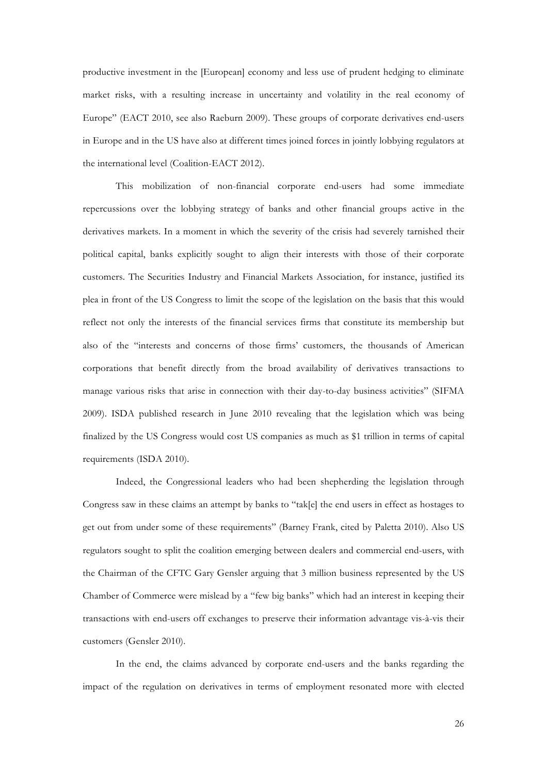productive investment in the [European] economy and less use of prudent hedging to eliminate market risks, with a resulting increase in uncertainty and volatility in the real economy of Europe" (EACT 2010, see also Raeburn 2009). These groups of corporate derivatives end-users in Europe and in the US have also at different times joined forces in jointly lobbying regulators at the international level (Coalition-EACT 2012).

This mobilization of non-financial corporate end-users had some immediate repercussions over the lobbying strategy of banks and other financial groups active in the derivatives markets. In a moment in which the severity of the crisis had severely tarnished their political capital, banks explicitly sought to align their interests with those of their corporate customers. The Securities Industry and Financial Markets Association, for instance, justified its plea in front of the US Congress to limit the scope of the legislation on the basis that this would reflect not only the interests of the financial services firms that constitute its membership but also of the "interests and concerns of those firms' customers, the thousands of American corporations that benefit directly from the broad availability of derivatives transactions to manage various risks that arise in connection with their day-to-day business activities" (SIFMA 2009). ISDA published research in June 2010 revealing that the legislation which was being finalized by the US Congress would cost US companies as much as \$1 trillion in terms of capital requirements (ISDA 2010).

Indeed, the Congressional leaders who had been shepherding the legislation through Congress saw in these claims an attempt by banks to "tak[e] the end users in effect as hostages to get out from under some of these requirements" (Barney Frank, cited by Paletta 2010). Also US regulators sought to split the coalition emerging between dealers and commercial end-users, with the Chairman of the CFTC Gary Gensler arguing that 3 million business represented by the US Chamber of Commerce were mislead by a "few big banks" which had an interest in keeping their transactions with end-users off exchanges to preserve their information advantage vis-à-vis their customers (Gensler 2010).

In the end, the claims advanced by corporate end-users and the banks regarding the impact of the regulation on derivatives in terms of employment resonated more with elected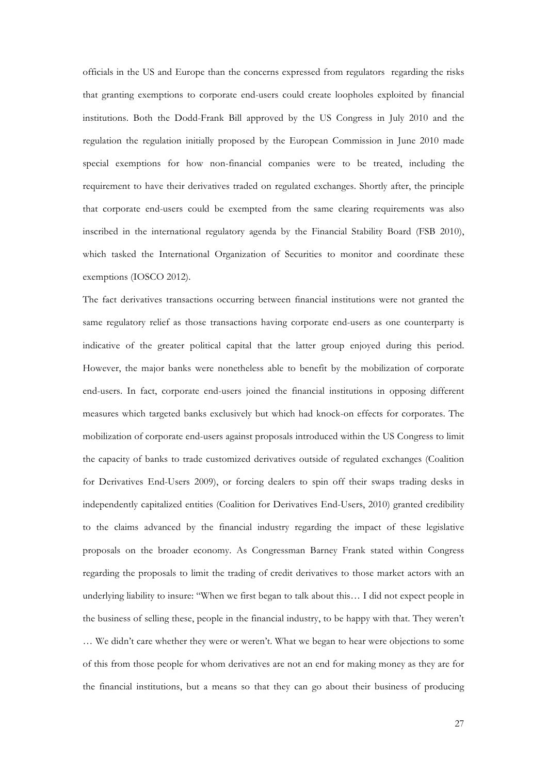officials in the US and Europe than the concerns expressed from regulators regarding the risks that granting exemptions to corporate end-users could create loopholes exploited by financial institutions. Both the Dodd-Frank Bill approved by the US Congress in July 2010 and the regulation the regulation initially proposed by the European Commission in June 2010 made special exemptions for how non-financial companies were to be treated, including the requirement to have their derivatives traded on regulated exchanges. Shortly after, the principle that corporate end-users could be exempted from the same clearing requirements was also inscribed in the international regulatory agenda by the Financial Stability Board (FSB 2010), which tasked the International Organization of Securities to monitor and coordinate these exemptions (IOSCO 2012).

The fact derivatives transactions occurring between financial institutions were not granted the same regulatory relief as those transactions having corporate end-users as one counterparty is indicative of the greater political capital that the latter group enjoyed during this period. However, the major banks were nonetheless able to benefit by the mobilization of corporate end-users. In fact, corporate end-users joined the financial institutions in opposing different measures which targeted banks exclusively but which had knock-on effects for corporates. The mobilization of corporate end-users against proposals introduced within the US Congress to limit the capacity of banks to trade customized derivatives outside of regulated exchanges (Coalition for Derivatives End-Users 2009), or forcing dealers to spin off their swaps trading desks in independently capitalized entities (Coalition for Derivatives End-Users, 2010) granted credibility to the claims advanced by the financial industry regarding the impact of these legislative proposals on the broader economy. As Congressman Barney Frank stated within Congress regarding the proposals to limit the trading of credit derivatives to those market actors with an underlying liability to insure: "When we first began to talk about this… I did not expect people in the business of selling these, people in the financial industry, to be happy with that. They weren't … We didn't care whether they were or weren't. What we began to hear were objections to some of this from those people for whom derivatives are not an end for making money as they are for the financial institutions, but a means so that they can go about their business of producing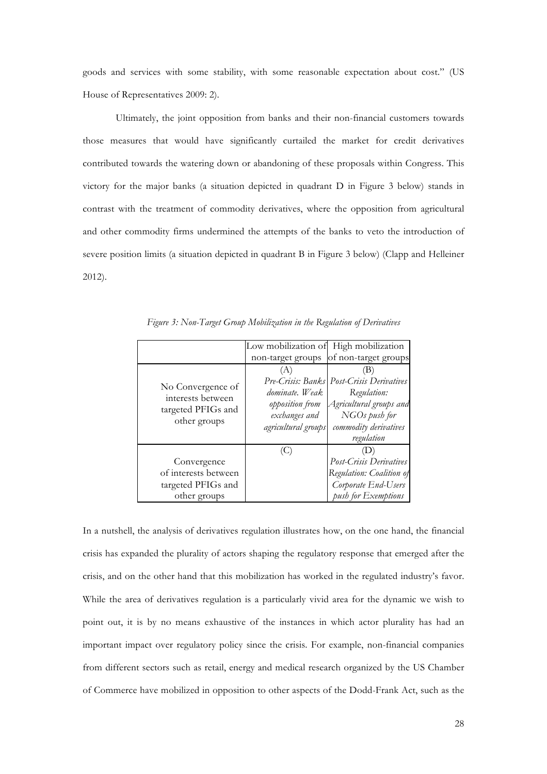goods and services with some stability, with some reasonable expectation about cost." (US House of Representatives 2009: 2).

Ultimately, the joint opposition from banks and their non-financial customers towards those measures that would have significantly curtailed the market for credit derivatives contributed towards the watering down or abandoning of these proposals within Congress. This victory for the major banks (a situation depicted in quadrant D in Figure 3 below) stands in contrast with the treatment of commodity derivatives, where the opposition from agricultural and other commodity firms undermined the attempts of the banks to veto the introduction of severe position limits (a situation depicted in quadrant B in Figure 3 below) (Clapp and Helleiner 2012).

|                                         | Low mobilization of | High mobilization        |
|-----------------------------------------|---------------------|--------------------------|
|                                         | non-target groups   | of non-target groups     |
|                                         | (A)                 |                          |
|                                         | Pre-Crisis: Banks   | Post-Crisis Derivatives  |
| No Convergence of                       | dominate. Weak      | Regulation:              |
| interests between<br>targeted PFIGs and | opposition from     | Agricultural groups and  |
| other groups                            | exchanges and       | NGOs push for            |
|                                         | agricultural groups | commodity derivatives    |
|                                         |                     | regulation               |
|                                         | (C)                 | D                        |
| Convergence                             |                     | Post-Crisis Derivatives  |
| of interests between                    |                     | Regulation: Coalition of |
| targeted PFIGs and                      |                     | Corporate End-Users      |
| other groups                            |                     | push for Exemptions      |

*Figure 3: Non-Target Group Mobilization in the Regulation of Derivatives*

In a nutshell, the analysis of derivatives regulation illustrates how, on the one hand, the financial crisis has expanded the plurality of actors shaping the regulatory response that emerged after the crisis, and on the other hand that this mobilization has worked in the regulated industry's favor. While the area of derivatives regulation is a particularly vivid area for the dynamic we wish to point out, it is by no means exhaustive of the instances in which actor plurality has had an important impact over regulatory policy since the crisis. For example, non-financial companies from different sectors such as retail, energy and medical research organized by the US Chamber of Commerce have mobilized in opposition to other aspects of the Dodd-Frank Act, such as the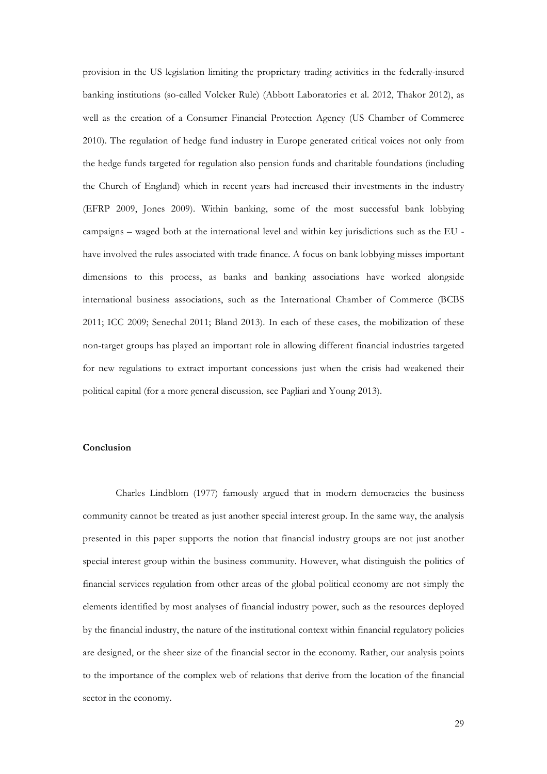provision in the US legislation limiting the proprietary trading activities in the federally-insured banking institutions (so-called Volcker Rule) (Abbott Laboratories et al. 2012, Thakor 2012), as well as the creation of a Consumer Financial Protection Agency (US Chamber of Commerce 2010). The regulation of hedge fund industry in Europe generated critical voices not only from the hedge funds targeted for regulation also pension funds and charitable foundations (including the Church of England) which in recent years had increased their investments in the industry (EFRP 2009, Jones 2009). Within banking, some of the most successful bank lobbying campaigns – waged both at the international level and within key jurisdictions such as the EU have involved the rules associated with trade finance. A focus on bank lobbying misses important dimensions to this process, as banks and banking associations have worked alongside international business associations, such as the International Chamber of Commerce (BCBS 2011; ICC 2009; Senechal 2011; Bland 2013). In each of these cases, the mobilization of these non-target groups has played an important role in allowing different financial industries targeted for new regulations to extract important concessions just when the crisis had weakened their political capital (for a more general discussion, see Pagliari and Young 2013).

#### **Conclusion**

Charles Lindblom (1977) famously argued that in modern democracies the business community cannot be treated as just another special interest group. In the same way, the analysis presented in this paper supports the notion that financial industry groups are not just another special interest group within the business community. However, what distinguish the politics of financial services regulation from other areas of the global political economy are not simply the elements identified by most analyses of financial industry power, such as the resources deployed by the financial industry, the nature of the institutional context within financial regulatory policies are designed, or the sheer size of the financial sector in the economy. Rather, our analysis points to the importance of the complex web of relations that derive from the location of the financial sector in the economy.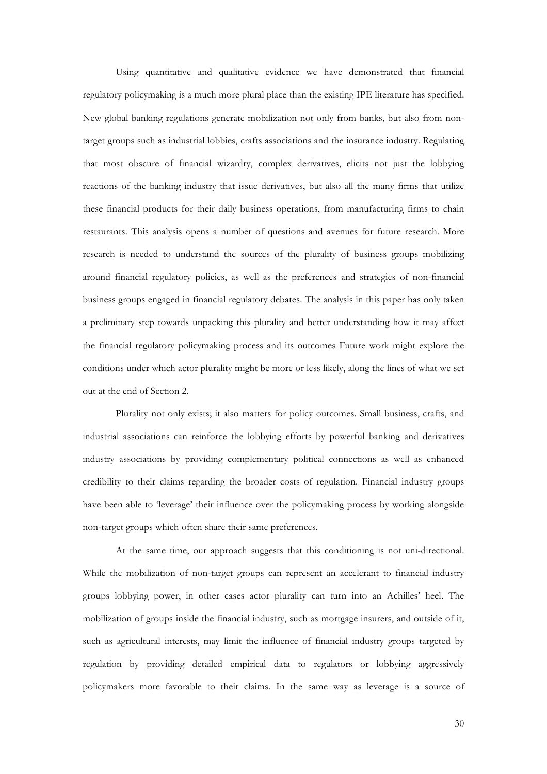Using quantitative and qualitative evidence we have demonstrated that financial regulatory policymaking is a much more plural place than the existing IPE literature has specified. New global banking regulations generate mobilization not only from banks, but also from nontarget groups such as industrial lobbies, crafts associations and the insurance industry. Regulating that most obscure of financial wizardry, complex derivatives, elicits not just the lobbying reactions of the banking industry that issue derivatives, but also all the many firms that utilize these financial products for their daily business operations, from manufacturing firms to chain restaurants. This analysis opens a number of questions and avenues for future research. More research is needed to understand the sources of the plurality of business groups mobilizing around financial regulatory policies, as well as the preferences and strategies of non-financial business groups engaged in financial regulatory debates. The analysis in this paper has only taken a preliminary step towards unpacking this plurality and better understanding how it may affect the financial regulatory policymaking process and its outcomes Future work might explore the conditions under which actor plurality might be more or less likely, along the lines of what we set out at the end of Section 2.

Plurality not only exists; it also matters for policy outcomes. Small business, crafts, and industrial associations can reinforce the lobbying efforts by powerful banking and derivatives industry associations by providing complementary political connections as well as enhanced credibility to their claims regarding the broader costs of regulation. Financial industry groups have been able to 'leverage' their influence over the policymaking process by working alongside non-target groups which often share their same preferences.

At the same time, our approach suggests that this conditioning is not uni-directional. While the mobilization of non-target groups can represent an accelerant to financial industry groups lobbying power, in other cases actor plurality can turn into an Achilles' heel. The mobilization of groups inside the financial industry, such as mortgage insurers, and outside of it, such as agricultural interests, may limit the influence of financial industry groups targeted by regulation by providing detailed empirical data to regulators or lobbying aggressively policymakers more favorable to their claims. In the same way as leverage is a source of

30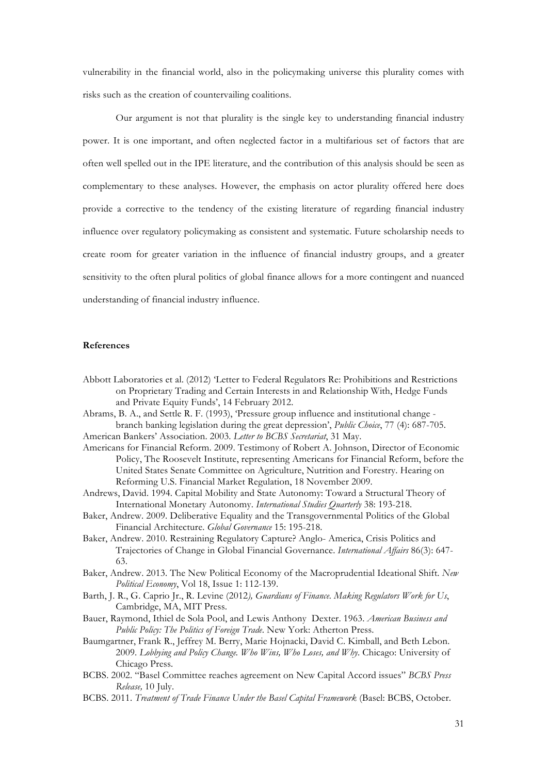vulnerability in the financial world, also in the policymaking universe this plurality comes with risks such as the creation of countervailing coalitions.

Our argument is not that plurality is the single key to understanding financial industry power. It is one important, and often neglected factor in a multifarious set of factors that are often well spelled out in the IPE literature, and the contribution of this analysis should be seen as complementary to these analyses. However, the emphasis on actor plurality offered here does provide a corrective to the tendency of the existing literature of regarding financial industry influence over regulatory policymaking as consistent and systematic. Future scholarship needs to create room for greater variation in the influence of financial industry groups, and a greater sensitivity to the often plural politics of global finance allows for a more contingent and nuanced understanding of financial industry influence.

#### **References**

- Abbott Laboratories et al. (2012) 'Letter to Federal Regulators Re: Prohibitions and Restrictions on Proprietary Trading and Certain Interests in and Relationship With, Hedge Funds and Private Equity Funds', 14 February 2012.
- Abrams, B. A., and Settle R. F. (1993), 'Pressure group influence and institutional change branch banking legislation during the great depression', *Public Choice*, 77 (4): 687-705.
- American Bankers' Association. 2003. *Letter to BCBS Secretariat*, 31 May.
- Americans for Financial Reform. 2009. Testimony of Robert A. Johnson, Director of Economic Policy, The Roosevelt Institute, representing Americans for Financial Reform, before the United States Senate Committee on Agriculture, Nutrition and Forestry. Hearing on Reforming U.S. Financial Market Regulation, 18 November 2009.
- Andrews, David. 1994. Capital Mobility and State Autonomy: Toward a Structural Theory of International Monetary Autonomy. *International Studies Quarterly* 38: 193-218.
- Baker, Andrew. 2009. Deliberative Equality and the Transgovernmental Politics of the Global Financial Architecture. *Global Governance* 15: 195-218.
- Baker, Andrew. 2010. Restraining Regulatory Capture? Anglo- America, Crisis Politics and Trajectories of Change in Global Financial Governance. *International Affairs* 86(3): 647- 63.
- Baker, Andrew. 2013. The New Political Economy of the Macroprudential Ideational Shift. *New Political Economy*, Vol 18, Issue 1: 112-139.
- Barth, J. R., G. Caprio Jr., R. Levine (2012*), Guardians of Finance. Making Regulators Work for Us*, Cambridge, MA, MIT Press.
- Bauer, Raymond, Ithiel de Sola Pool, and Lewis Anthony Dexter. 1963. *American Business and Public Policy: The Politics of Foreign Trade*. New York: Atherton Press.
- Baumgartner, Frank R., Jeffrey M. Berry, Marie Hojnacki, David C. Kimball, and Beth Lebon. 2009. *Lobbying and Policy Change. Who Wins, Who Loses, and Why*. Chicago: University of Chicago Press.
- BCBS. 2002. "Basel Committee reaches agreement on New Capital Accord issues" *BCBS Press Release,* 10 July.
- BCBS. 2011. *Treatment of Trade Finance Under the Basel Capital Framework* (Basel: BCBS, October.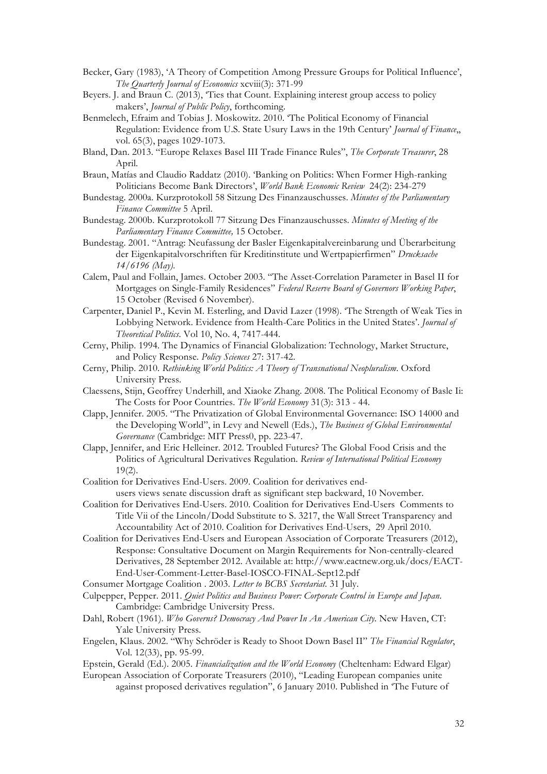- Becker, Gary (1983), 'A Theory of Competition Among Pressure Groups for Political Influence', *The Quarterly Journal of Economics* xcviii(3): 371-99
- Beyers. J. and Braun C. (2013), 'Ties that Count. Explaining interest group access to policy makers', *Journal of Public Policy*, forthcoming.
- Benmelech, Efraim and Tobias J. Moskowitz. 2010. 'The Political Economy of Financial Regulation: Evidence from U.S. State Usury Laws in the 19th Century' *Journal of Finance*,, vol. 65(3), pages 1029-1073.
- Bland, Dan. 2013. "Europe Relaxes Basel III Trade Finance Rules", *The Corporate Treasurer*, 28 April.
- Braun, Matías and Claudio Raddatz (2010). 'Banking on Politics: When Former High-ranking Politicians Become Bank Directors', *World Bank Economic Review* 24(2): 234-279
- Bundestag. 2000a. Kurzprotokoll 58 Sitzung Des Finanzauschusses. *Minutes of the Parliamentary Finance Committee* 5 April.
- Bundestag. 2000b. Kurzprotokoll 77 Sitzung Des Finanzauschusses. *Minutes of Meeting of the Parliamentary Finance Committee,* 15 October.
- Bundestag. 2001. "Antrag: Neufassung der Basler Eigenkapitalvereinbarung und Überarbeitung der Eigenkapitalvorschriften für Kreditinstitute und Wertpapierfirmen" *Drucksache 14/6196 (May).*
- Calem, Paul and Follain, James. October 2003. "The Asset-Correlation Parameter in Basel II for Mortgages on Single-Family Residences" *Federal Reserve Board of Governors Working Paper*, 15 October (Revised 6 November).
- Carpenter, Daniel P., Kevin M. Esterling, and David Lazer (1998). 'The Strength of Weak Ties in Lobbying Network. Evidence from Health-Care Politics in the United States'. *Journal of Theoretical Politics*. Vol 10, No. 4, 7417-444.
- Cerny, Philip. 1994. The Dynamics of Financial Globalization: Technology, Market Structure, and Policy Response. *Policy Sciences* 27: 317-42.
- Cerny, Philip. 2010. *Rethinking World Politics: A Theory of Transnational Neopluralism*. Oxford University Press.
- Claessens, Stijn, Geoffrey Underhill, and Xiaoke Zhang. 2008. The Political Economy of Basle Ii: The Costs for Poor Countries. *The World Economy* 31(3): 313 - 44.
- Clapp, Jennifer. 2005. "The Privatization of Global Environmental Governance: ISO 14000 and the Developing World", in Levy and Newell (Eds.), *The Business of Global Environmental Governance* (Cambridge: MIT Press0, pp. 223-47.
- Clapp, Jennifer, and Eric Helleiner. 2012. Troubled Futures? The Global Food Crisis and the Politics of Agricultural Derivatives Regulation. *Review of International Political Economy* 19(2).
- Coalition for Derivatives End-Users. 2009. Coalition for derivatives endusers views senate discussion draft as significant step backward, 10 November.
- Coalition for Derivatives End-Users. 2010. Coalition for Derivatives End-Users Comments to Title Vii of the Lincoln/Dodd Substitute to S. 3217, the Wall Street Transparency and Accountability Act of 2010. Coalition for Derivatives End-Users, 29 April 2010.
- Coalition for Derivatives End-Users and European Association of Corporate Treasurers (2012), Response: Consultative Document on Margin Requirements for Non-centrally-cleared Derivatives, 28 September 2012. Available at: http://www.eactnew.org.uk/docs/EACT-End-User-Comment-Letter-Basel-IOSCO-FINAL-Sept12.pdf
- Consumer Mortgage Coalition . 2003. *Letter to BCBS Secretariat.* 31 July.
- Culpepper, Pepper. 2011. *Quiet Politics and Business Power: Corporate Control in Europe and Japan*. Cambridge: Cambridge University Press.
- Dahl, Robert (1961). *Who Governs? Democracy And Power In An American City.* New Haven, CT: Yale University Press.
- Engelen, Klaus. 2002. "Why Schröder is Ready to Shoot Down Basel II" *The Financial Regulator*, Vol. 12(33), pp. 95-99.
- Epstein, Gerald (Ed.). 2005. *Financialization and the World Economy* (Cheltenham: Edward Elgar)
- European Association of Corporate Treasurers (2010), "Leading European companies unite against proposed derivatives regulation", 6 January 2010. Published in 'The Future of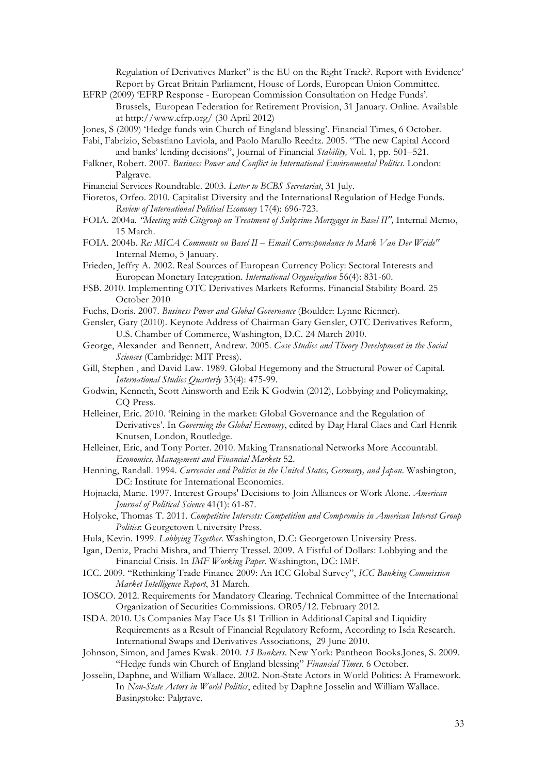Regulation of Derivatives Market" is the EU on the Right Track?. Report with Evidence' Report by Great Britain Parliament, House of Lords, European Union Committee.

- EFRP (2009) 'EFRP Response European Commission Consultation on Hedge Funds'. Brussels, European Federation for Retirement Provision, 31 January. Online. Available at http://www.efrp.org/ (30 April 2012)
- Jones, S (2009) 'Hedge funds win Church of England blessing'. Financial Times, 6 October.
- Fabi, Fabrizio, Sebastiano Laviola, and Paolo Marullo Reedtz. 2005. "The new Capital Accord and banks' lending decisions", Journal of Financial *Stability,* Vol. 1, pp. 501–521.
- Falkner, Robert. 2007. *Business Power and Conflict in International Environmental Politics*. London: Palgrave.
- Financial Services Roundtable. 2003. *Letter to BCBS Secretariat*, 31 July.
- Fioretos, Orfeo. 2010. Capitalist Diversity and the International Regulation of Hedge Funds. *Review of International Political Economy* 17(4): 696-723.
- FOIA. 2004a. *"Meeting with Citigroup on Treatment of Subprime Mortgages in Basel II",* Internal Memo, 15 March.
- FOIA. 2004b. *Re: MICA Comments on Basel II – Email Correspondance to Mark Van Der Weide"*  Internal Memo, 5 January.
- Frieden, Jeffry A. 2002. Real Sources of European Currency Policy: Sectoral Interests and European Monetary Integration. *International Organization* 56(4): 831-60.
- FSB. 2010. Implementing OTC Derivatives Markets Reforms. Financial Stability Board. 25 October 2010
- Fuchs, Doris. 2007. *Business Power and Global Governance* (Boulder: Lynne Rienner).
- Gensler, Gary (2010). Keynote Address of Chairman Gary Gensler, OTC Derivatives Reform, U.S. Chamber of Commerce, Washington, D.C. 24 March 2010.
- George, Alexander and Bennett, Andrew. 2005. *Case Studies and Theory Development in the Social Sciences* (Cambridge: MIT Press).
- Gill, Stephen , and David Law. 1989. Global Hegemony and the Structural Power of Capital. *International Studies Quarterly* 33(4): 475-99.
- Godwin, Kenneth, Scott Ainsworth and Erik K Godwin (2012), Lobbying and Policymaking, CQ Press.
- Helleiner, Eric. 2010. 'Reining in the market: Global Governance and the Regulation of Derivatives'. In *Governing the Global Economy*, edited by Dag Haral Claes and Carl Henrik Knutsen, London, Routledge.
- Helleiner, Eric, and Tony Porter. 2010. Making Transnational Networks More Accountabl. *Economics, Management and Financial Markets* 52.
- Henning, Randall. 1994. *Currencies and Politics in the United States, Germany, and Japan*. Washington, DC: Institute for International Economics.
- Hojnacki, Marie. 1997. Interest Groups' Decisions to Join Alliances or Work Alone. *American Journal of Political Science* 41(1): 61-87.
- Holyoke, Thomas T. 2011. *Competitive Interests: Competition and Compromise in American Interest Group Politics*: Georgetown University Press.
- Hula, Kevin. 1999. *Lobbying Together*. Washington, D.C: Georgetown University Press.
- Igan, Deniz, Prachi Mishra, and Thierry Tressel. 2009. A Fistful of Dollars: Lobbying and the Financial Crisis. In *IMF Working Paper*. Washington, DC: IMF.
- ICC. 2009. "Rethinking Trade Finance 2009: An ICC Global Survey", *ICC Banking Commission Market Intelligence Report*, 31 March.
- IOSCO. 2012. Requirements for Mandatory Clearing. Technical Committee of the International Organization of Securities Commissions. OR05/12. February 2012.
- ISDA. 2010. Us Companies May Face Us \$1 Trillion in Additional Capital and Liquidity Requirements as a Result of Financial Regulatory Reform, According to Isda Research. International Swaps and Derivatives Associations, 29 June 2010.
- Johnson, Simon, and James Kwak. 2010. *13 Bankers*. New York: Pantheon Books.Jones, S. 2009. "Hedge funds win Church of England blessing" *Financial Times*, 6 October.
- Josselin, Daphne, and William Wallace. 2002. Non-State Actors in World Politics: A Framework. In *Non-State Actors in World Politics*, edited by Daphne Josselin and William Wallace. Basingstoke: Palgrave.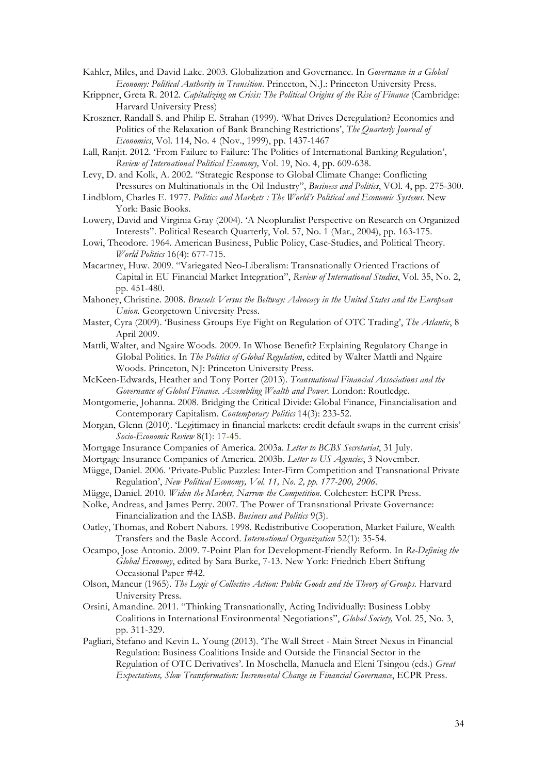Kahler, Miles, and David Lake. 2003. Globalization and Governance. In *Governance in a Global Economy: Political Authority in Transition*. Princeton, N.J.: Princeton University Press.

- Krippner, Greta R. 2012. *Capitalizing on Crisis: The Political Origins of the Rise of Finance* (Cambridge: Harvard University Press)
- Kroszner, Randall S. and Philip E. Strahan (1999). 'What Drives Deregulation? Economics and Politics of the Relaxation of Bank Branching Restrictions', *The Quarterly Journal of Economics*, Vol. 114, No. 4 (Nov., 1999), pp. 1437-1467
- Lall, Ranjit. 2012. 'From Failure to Failure: The Politics of International Banking Regulation', *Review of International Political Economy,* Vol. 19, No. 4, pp. 609-638.
- Levy, D. and Kolk, A. 2002. "Strategic Response to Global Climate Change: Conflicting Pressures on Multinationals in the Oil Industry", *Business and Politics*, VOl. 4, pp. 275-300.
- Lindblom, Charles E. 1977. *Politics and Markets : The World's Political and Economic Systems*. New York: Basic Books.
- Lowery, David and Virginia Gray (2004). 'A Neopluralist Perspective on Research on Organized Interests". Political Research Quarterly, Vol. 57, No. 1 (Mar., 2004), pp. 163-175.
- Lowi, Theodore. 1964. American Business, Public Policy, Case-Studies, and Political Theory. *World Politics* 16(4): 677-715.
- Macartney, Huw. 2009. "Variegated Neo-Liberalism: Transnationally Oriented Fractions of Capital in EU Financial Market Integration", *Review of International Studies*, Vol. 35, No. 2, pp. 451-480.
- Mahoney, Christine. 2008. *Brussels Versus the Beltway: Advocacy in the United States and the European Union.* Georgetown University Press.
- Master, Cyra (2009). 'Business Groups Eye Fight on Regulation of OTC Trading', *The Atlantic*, 8 April 2009.
- Mattli, Walter, and Ngaire Woods. 2009. In Whose Benefit? Explaining Regulatory Change in Global Politics. In *The Politics of Global Regulation*, edited by Walter Mattli and Ngaire Woods. Princeton, NJ: Princeton University Press.
- McKeen-Edwards, Heather and Tony Porter (2013). *Transnational Financial Associations and the Governance of Global Finance*. *Assembling Wealth and Power*. London: Routledge.
- Montgomerie, Johanna. 2008. Bridging the Critical Divide: Global Finance, Financialisation and Contemporary Capitalism. *Contemporary Politics* 14(3): 233-52.
- Morgan, Glenn (2010). 'Legitimacy in financial markets: credit default swaps in the current crisis' *Socio-Economic Review* 8(1): 17-45.
- Mortgage Insurance Companies of America. 2003a. *Letter to BCBS Secretariat*, 31 July.
- Mortgage Insurance Companies of America. 2003b. *Letter to US Agencies*, 3 November.
- Mügge, Daniel. 2006. 'Private-Public Puzzles: Inter-Firm Competition and Transnational Private Regulation', *New Political Economy, Vol. 11, No. 2, pp. 177-200, 2006.*
- Mügge, Daniel. 2010. *Widen the Market, Narrow the Competition*. Colchester: ECPR Press.
- Nolke, Andreas, and James Perry. 2007. The Power of Transnational Private Governance: Financialization and the IASB. *Business and Politics* 9(3).
- Oatley, Thomas, and Robert Nabors. 1998. Redistributive Cooperation, Market Failure, Wealth Transfers and the Basle Accord. *International Organization* 52(1): 35-54.
- Ocampo, Jose Antonio. 2009. 7-Point Plan for Development-Friendly Reform. In *Re-Defining the Global Economy*, edited by Sara Burke, 7-13. New York: Friedrich Ebert Stiftung Occasional Paper #42.
- Olson, Mancur (1965). *The Logic of Collective Action: Public Goods and the Theory of Groups.* Harvard University Press.
- Orsini, Amandine. 2011. "Thinking Transnationally, Acting Individually: Business Lobby Coalitions in International Environmental Negotiations", *Global Society,* Vol. 25, No. 3, pp. 311-329.
- Pagliari, Stefano and Kevin L. Young (2013). 'The Wall Street Main Street Nexus in Financial Regulation: Business Coalitions Inside and Outside the Financial Sector in the Regulation of OTC Derivatives'. In Moschella, Manuela and Eleni Tsingou (eds.) *Great Expectations, Slow Transformation: Incremental Change in Financial Governance*, ECPR Press.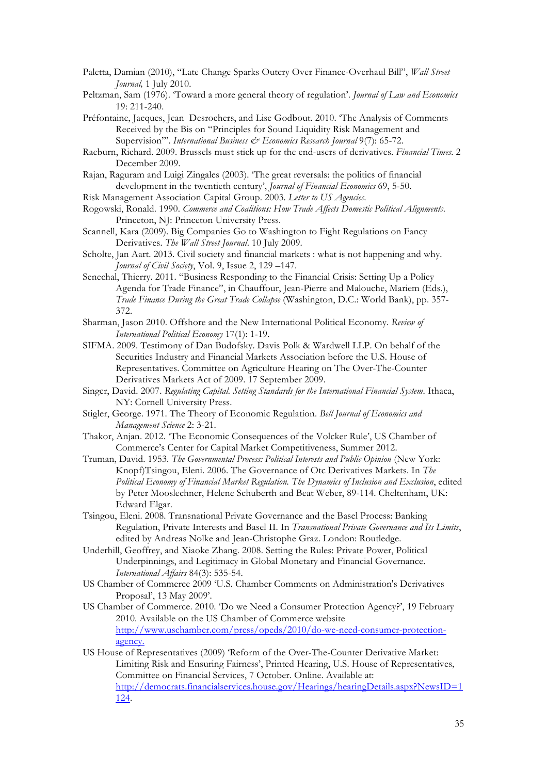- Paletta, Damian (2010), "Late Change Sparks Outcry Over Finance-Overhaul Bill", *Wall Street Journal,* 1 July 2010.
- Peltzman, Sam (1976). 'Toward a more general theory of regulation'. *Journal of Law and Economics*  19: 211-240.
- Préfontaine, Jacques, Jean Desrochers, and Lise Godbout. 2010. 'The Analysis of Comments Received by the Bis on "Principles for Sound Liquidity Risk Management and Supervision"'. *International Business & Economics Research Journal* 9(7): 65-72.
- Raeburn, Richard. 2009. Brussels must stick up for the end-users of derivatives. *Financial Times*. 2 December 2009.
- Rajan, Raguram and Luigi Zingales (2003). 'The great reversals: the politics of financial development in the twentieth century', *Journal of Financial Economics* 69, 5-50.
- Risk Management Association Capital Group. 2003*. Letter to US Agencies*.
- Rogowski, Ronald. 1990. *Commerce and Coalitions: How Trade Affects Domestic Political Alignments*. Princeton, NJ: Princeton University Press.
- Scannell, Kara (2009). Big Companies Go to Washington to Fight Regulations on Fancy Derivatives. *The Wall Street Journal*. 10 July 2009.
- Scholte, Jan Aart. 2013. Civil society and financial markets : what is not happening and why. *Journal of Civil Society*, Vol. 9, Issue 2, 129 –147.
- Senechal, Thierry. 2011. "Business Responding to the Financial Crisis: Setting Up a Policy Agenda for Trade Finance", in Chauffour, Jean-Pierre and Malouche, Mariem (Eds.), *Trade Finance During the Great Trade Collapse* (Washington, D.C.: World Bank), pp. 357- 372.
- Sharman, Jason 2010. Offshore and the New International Political Economy. *Review of International Political Economy* 17(1): 1-19.
- SIFMA. 2009. Testimony of Dan Budofsky. Davis Polk & Wardwell LLP. On behalf of the Securities Industry and Financial Markets Association before the U.S. House of Representatives. Committee on Agriculture Hearing on The Over-The-Counter Derivatives Markets Act of 2009. 17 September 2009.
- Singer, David. 2007. *Regulating Capital. Setting Standards for the International Financial System*. Ithaca, NY: Cornell University Press.
- Stigler, George. 1971. The Theory of Economic Regulation. *Bell Journal of Economics and Management Science* 2: 3-21.
- Thakor, Anjan. 2012. 'The Economic Consequences of the Volcker Rule', US Chamber of Commerce's Center for Capital Market Competitiveness, Summer 2012.
- Truman, David. 1953. *The Governmental Process: Political Interests and Public Opinion* (New York: Knopf)Tsingou, Eleni. 2006. The Governance of Otc Derivatives Markets. In *The Political Economy of Financial Market Regulation. The Dynamics of Inclusion and Exclusion*, edited by Peter Mooslechner, Helene Schuberth and Beat Weber, 89-114. Cheltenham, UK: Edward Elgar.
- Tsingou, Eleni. 2008. Transnational Private Governance and the Basel Process: Banking Regulation, Private Interests and Basel II. In *Transnational Private Governance and Its Limits*, edited by Andreas Nolke and Jean-Christophe Graz. London: Routledge.
- Underhill, Geoffrey, and Xiaoke Zhang. 2008. Setting the Rules: Private Power, Political Underpinnings, and Legitimacy in Global Monetary and Financial Governance. *International Affairs* 84(3): 535-54.
- US Chamber of Commerce 2009 'U.S. Chamber Comments on Administration's Derivatives Proposal', 13 May 2009'.
- US Chamber of Commerce. 2010. 'Do we Need a Consumer Protection Agency?', 19 February 2010. Available on the US Chamber of Commerce website http://www.uschamber.com/press/opeds/2010/do-we-need-consumer-protectionagency.
- US House of Representatives (2009) 'Reform of the Over-The-Counter Derivative Market: Limiting Risk and Ensuring Fairness', Printed Hearing, U.S. House of Representatives, Committee on Financial Services, 7 October. Online. Available at: http://democrats.financialservices.house.gov/Hearings/hearingDetails.aspx?NewsID=1 124.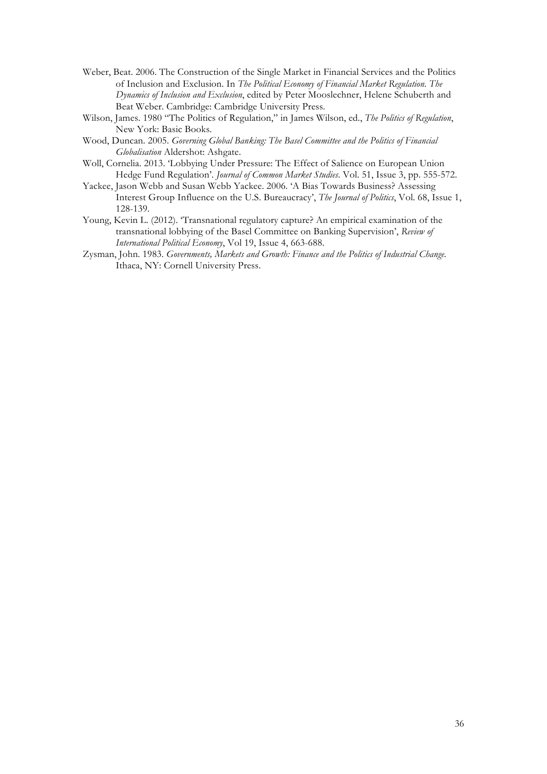- Weber, Beat. 2006. The Construction of the Single Market in Financial Services and the Politics of Inclusion and Exclusion. In *The Political Economy of Financial Market Regulation. The Dynamics of Inclusion and Exclusion*, edited by Peter Mooslechner, Helene Schuberth and Beat Weber. Cambridge: Cambridge University Press.
- Wilson, James. 1980 "The Politics of Regulation," in James Wilson, ed., *The Politics of Regulation*, New York: Basic Books.
- Wood, Duncan. 2005. *Governing Global Banking: The Basel Committee and the Politics of Financial Globalisation* Aldershot: Ashgate.
- Woll, Cornelia. 2013. 'Lobbying Under Pressure: The Effect of Salience on European Union Hedge Fund Regulation'. *Journal of Common Market Studies*. Vol. 51, Issue 3, pp. 555-572.
- Yackee, Jason Webb and Susan Webb Yackee. 2006. 'A Bias Towards Business? Assessing Interest Group Influence on the U.S. Bureaucracy', *The Journal of Politics*, Vol. 68, Issue 1, 128-139.
- Young, Kevin L. (2012). 'Transnational regulatory capture? An empirical examination of the transnational lobbying of the Basel Committee on Banking Supervision', *Review of International Political Economy*, Vol 19, Issue 4, 663-688.
- Zysman, John. 1983. *Governments, Markets and Growth: Finance and the Politics of Industrial Change.* Ithaca, NY: Cornell University Press.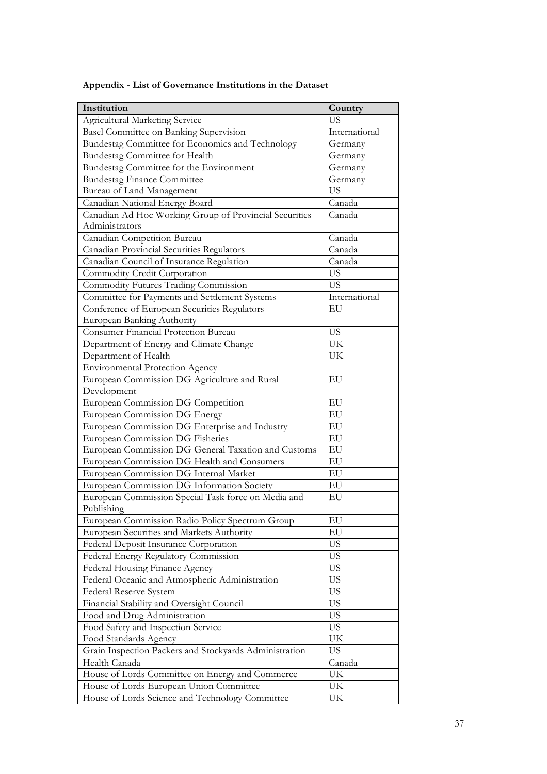| Institution                                            | Country       |
|--------------------------------------------------------|---------------|
| Agricultural Marketing Service                         | US.           |
| Basel Committee on Banking Supervision                 | International |
| Bundestag Committee for Economics and Technology       | Germany       |
| Bundestag Committee for Health                         | Germany       |
| Bundestag Committee for the Environment                | Germany       |
| <b>Bundestag Finance Committee</b>                     | Germany       |
| Bureau of Land Management                              | US            |
| Canadian National Energy Board                         | Canada        |
| Canadian Ad Hoc Working Group of Provincial Securities | Canada        |
| Administrators                                         |               |
| Canadian Competition Bureau                            | Canada        |
| Canadian Provincial Securities Regulators              | Canada        |
| Canadian Council of Insurance Regulation               | Canada        |
| Commodity Credit Corporation                           | US            |
| Commodity Futures Trading Commission                   | <b>US</b>     |
| Committee for Payments and Settlement Systems          | International |
| Conference of European Securities Regulators           | EU            |
| European Banking Authority                             |               |
| <b>Consumer Financial Protection Bureau</b>            | <b>US</b>     |
| Department of Energy and Climate Change                | UK            |
| Department of Health                                   | UK            |
| <b>Environmental Protection Agency</b>                 |               |
| European Commission DG Agriculture and Rural           | EU            |
| Development                                            |               |
| European Commission DG Competition                     | ${\rm EU}$    |
| European Commission DG Energy                          | ${\rm EU}$    |
| European Commission DG Enterprise and Industry         | ${\rm EU}$    |
| European Commission DG Fisheries                       | EU            |
| European Commission DG General Taxation and Customs    | ${\rm EU}$    |
| European Commission DG Health and Consumers            | EU            |
| European Commission DG Internal Market                 | ${\rm EU}$    |
| European Commission DG Information Society             | ${\rm EU}$    |
| European Commission Special Task force on Media and    | EU            |
| Publishing                                             |               |
| European Commission Radio Policy Spectrum Group        | EU            |
| European Securities and Markets Authority              | EU            |
| Federal Deposit Insurance Corporation                  | <b>US</b>     |
| Federal Energy Regulatory Commission                   | <b>US</b>     |
| Federal Housing Finance Agency                         | <b>US</b>     |
| Federal Oceanic and Atmospheric Administration         | <b>US</b>     |
| Federal Reserve System                                 | <b>US</b>     |
| Financial Stability and Oversight Council              | <b>US</b>     |
| Food and Drug Administration                           | <b>US</b>     |
| Food Safety and Inspection Service                     | <b>US</b>     |
| Food Standards Agency                                  | UK            |
| Grain Inspection Packers and Stockyards Administration | US            |
| Health Canada                                          | Canada        |
| House of Lords Committee on Energy and Commerce        | UK            |
| House of Lords European Union Committee                | UK            |
| House of Lords Science and Technology Committee        | UK            |